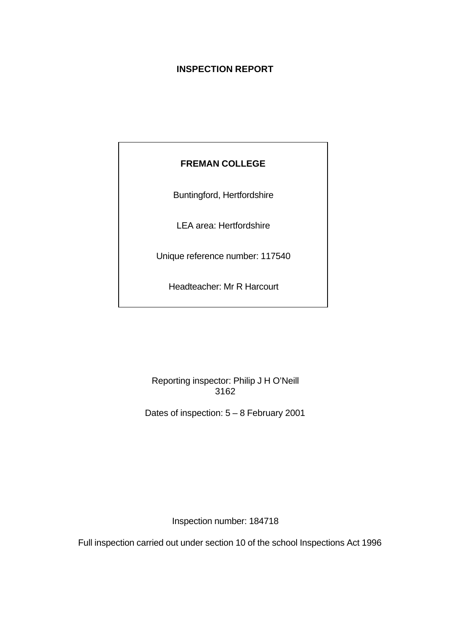# **INSPECTION REPORT**

# **FREMAN COLLEGE**

Buntingford, Hertfordshire

LEA area: Hertfordshire

Unique reference number: 117540

Headteacher: Mr R Harcourt

Reporting inspector: Philip J H O'Neill 3162

Dates of inspection: 5 – 8 February 2001

Inspection number: 184718

Full inspection carried out under section 10 of the school Inspections Act 1996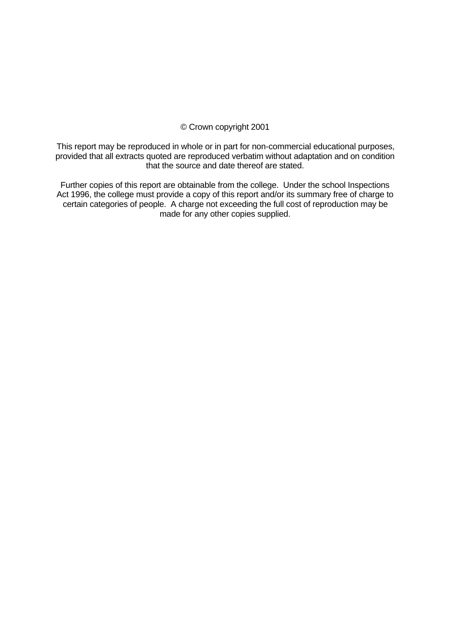#### © Crown copyright 2001

This report may be reproduced in whole or in part for non-commercial educational purposes, provided that all extracts quoted are reproduced verbatim without adaptation and on condition that the source and date thereof are stated.

Further copies of this report are obtainable from the college. Under the school Inspections Act 1996, the college must provide a copy of this report and/or its summary free of charge to certain categories of people. A charge not exceeding the full cost of reproduction may be made for any other copies supplied.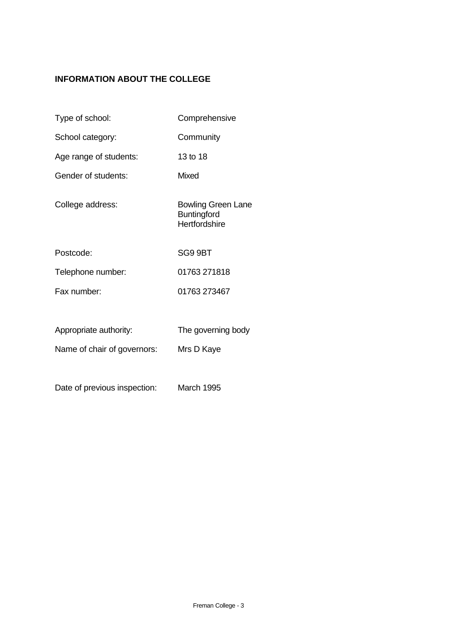# **INFORMATION ABOUT THE COLLEGE**

| Type of school:              | Comprehensive                                                    |
|------------------------------|------------------------------------------------------------------|
| School category:             | Community                                                        |
| Age range of students:       | 13 to 18                                                         |
| Gender of students:          | <b>Mixed</b>                                                     |
| College address:             | <b>Bowling Green Lane</b><br><b>Buntingford</b><br>Hertfordshire |
| Postcode:                    | SG9 9BT                                                          |
| Telephone number:            | 01763 271818                                                     |
| Fax number:                  | 01763 273467                                                     |
|                              |                                                                  |
| Appropriate authority:       | The governing body                                               |
| Name of chair of governors:  | Mrs D Kaye                                                       |
|                              |                                                                  |
| Date of previous inspection: | <b>March 1995</b>                                                |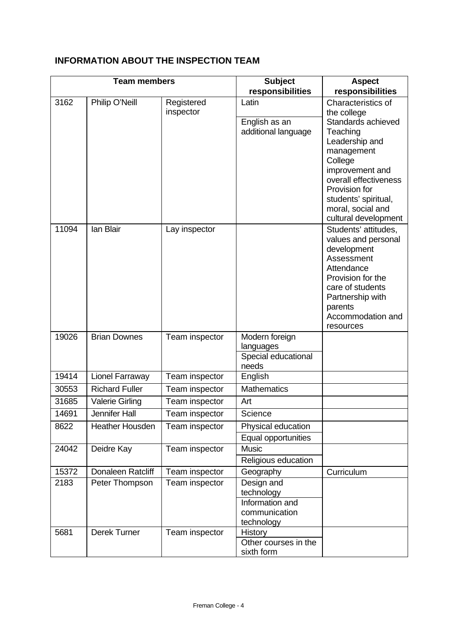# **INFORMATION ABOUT THE INSPECTION TEAM**

| <b>Team members</b> |                        | <b>Subject</b>          | <b>Aspect</b>                                                              |                                                                                                                                                                                                  |
|---------------------|------------------------|-------------------------|----------------------------------------------------------------------------|--------------------------------------------------------------------------------------------------------------------------------------------------------------------------------------------------|
|                     |                        |                         | responsibilities                                                           | responsibilities                                                                                                                                                                                 |
| 3162                | Philip O'Neill         | Registered<br>inspector | Latin                                                                      | Characteristics of<br>the college                                                                                                                                                                |
|                     |                        |                         | English as an<br>additional language                                       | Standards achieved<br>Teaching<br>Leadership and<br>management<br>College<br>improvement and                                                                                                     |
|                     |                        |                         |                                                                            | overall effectiveness<br>Provision for<br>students' spiritual,<br>moral, social and<br>cultural development                                                                                      |
| 11094               | lan Blair              | Lay inspector           |                                                                            | Students' attitudes,<br>values and personal<br>development<br>Assessment<br>Attendance<br>Provision for the<br>care of students<br>Partnership with<br>parents<br>Accommodation and<br>resources |
| 19026               | <b>Brian Downes</b>    | Team inspector          | Modern foreign<br>languages<br>Special educational<br>needs                |                                                                                                                                                                                                  |
| 19414               | Lionel Farraway        | Team inspector          | English                                                                    |                                                                                                                                                                                                  |
| 30553               | <b>Richard Fuller</b>  | Team inspector          | <b>Mathematics</b>                                                         |                                                                                                                                                                                                  |
| 31685               | <b>Valerie Girling</b> | Team inspector          | Art                                                                        |                                                                                                                                                                                                  |
| 14691               | Jennifer Hall          | Team inspector          | Science                                                                    |                                                                                                                                                                                                  |
| 8622                | <b>Heather Housden</b> | Team inspector          | Physical education<br>Equal opportunities                                  |                                                                                                                                                                                                  |
| 24042               | Deidre Kay             | Team inspector          | <b>Music</b><br>Religious education                                        |                                                                                                                                                                                                  |
| 15372               | Donaleen Ratcliff      | Team inspector          | Geography                                                                  | Curriculum                                                                                                                                                                                       |
| 2183                | Peter Thompson         | Team inspector          | Design and<br>technology<br>Information and<br>communication<br>technology |                                                                                                                                                                                                  |
| 5681                | Derek Turner           | Team inspector          | History<br>Other courses in the<br>sixth form                              |                                                                                                                                                                                                  |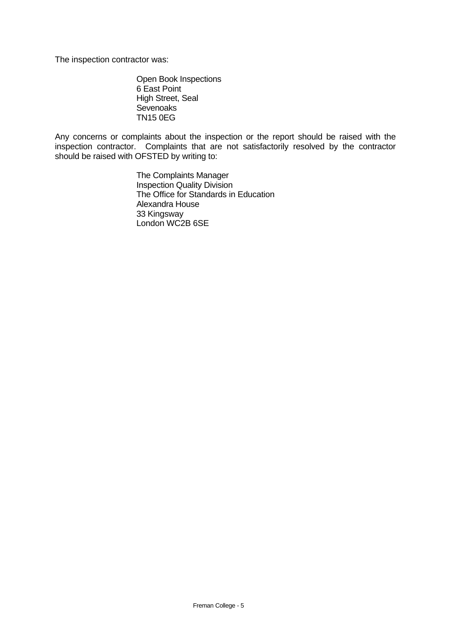The inspection contractor was:

Open Book Inspections 6 East Point High Street, Seal **Sevenoaks** TN15 0EG

Any concerns or complaints about the inspection or the report should be raised with the inspection contractor. Complaints that are not satisfactorily resolved by the contractor should be raised with OFSTED by writing to:

> The Complaints Manager Inspection Quality Division The Office for Standards in Education Alexandra House 33 Kingsway London WC2B 6SE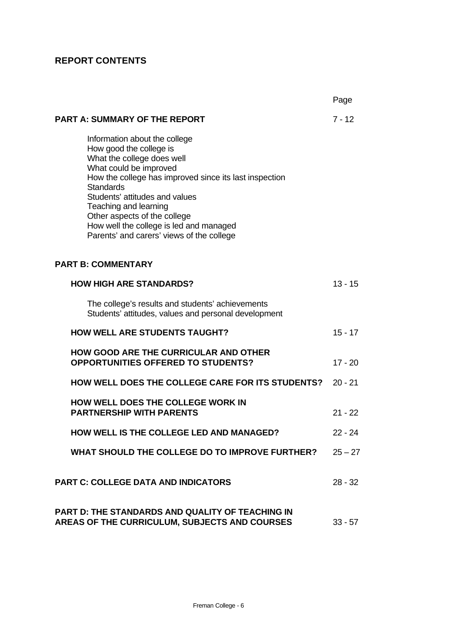# **REPORT CONTENTS**

|                                                                                                                                                                                                                                                                                                                                                                                   | Page      |
|-----------------------------------------------------------------------------------------------------------------------------------------------------------------------------------------------------------------------------------------------------------------------------------------------------------------------------------------------------------------------------------|-----------|
| <b>PART A: SUMMARY OF THE REPORT</b>                                                                                                                                                                                                                                                                                                                                              | $7 - 12$  |
| Information about the college<br>How good the college is<br>What the college does well<br>What could be improved<br>How the college has improved since its last inspection<br><b>Standards</b><br>Students' attitudes and values<br>Teaching and learning<br>Other aspects of the college<br>How well the college is led and managed<br>Parents' and carers' views of the college |           |
| <b>PART B: COMMENTARY</b>                                                                                                                                                                                                                                                                                                                                                         |           |
| <b>HOW HIGH ARE STANDARDS?</b>                                                                                                                                                                                                                                                                                                                                                    | $13 - 15$ |
| The college's results and students' achievements<br>Students' attitudes, values and personal development                                                                                                                                                                                                                                                                          |           |
| <b>HOW WELL ARE STUDENTS TAUGHT?</b>                                                                                                                                                                                                                                                                                                                                              | $15 - 17$ |
| <b>HOW GOOD ARE THE CURRICULAR AND OTHER</b><br><b>OPPORTUNITIES OFFERED TO STUDENTS?</b>                                                                                                                                                                                                                                                                                         | $17 - 20$ |
| <b>HOW WELL DOES THE COLLEGE CARE FOR ITS STUDENTS?</b>                                                                                                                                                                                                                                                                                                                           | $20 - 21$ |
| <b>HOW WELL DOES THE COLLEGE WORK IN</b><br><b>PARTNERSHIP WITH PARENTS</b>                                                                                                                                                                                                                                                                                                       | $21 - 22$ |
| HOW WELL IS THE COLLEGE LED AND MANAGED?                                                                                                                                                                                                                                                                                                                                          | $22 - 24$ |
| WHAT SHOULD THE COLLEGE DO TO IMPROVE FURTHER?                                                                                                                                                                                                                                                                                                                                    | $25 - 27$ |
| <b>PART C: COLLEGE DATA AND INDICATORS</b>                                                                                                                                                                                                                                                                                                                                        | $28 - 32$ |
| <b>PART D: THE STANDARDS AND QUALITY OF TEACHING IN</b><br>AREAS OF THE CURRICULUM, SUBJECTS AND COURSES                                                                                                                                                                                                                                                                          | $33 - 57$ |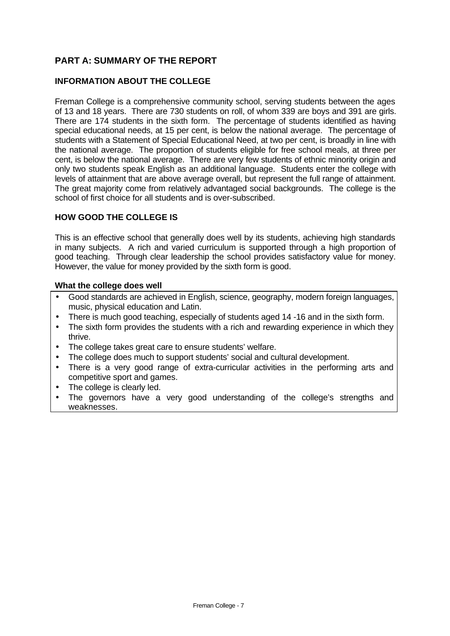# **PART A: SUMMARY OF THE REPORT**

## **INFORMATION ABOUT THE COLLEGE**

Freman College is a comprehensive community school, serving students between the ages of 13 and 18 years. There are 730 students on roll, of whom 339 are boys and 391 are girls. There are 174 students in the sixth form. The percentage of students identified as having special educational needs, at 15 per cent, is below the national average. The percentage of students with a Statement of Special Educational Need, at two per cent, is broadly in line with the national average. The proportion of students eligible for free school meals, at three per cent, is below the national average. There are very few students of ethnic minority origin and only two students speak English as an additional language. Students enter the college with levels of attainment that are above average overall, but represent the full range of attainment. The great majority come from relatively advantaged social backgrounds. The college is the school of first choice for all students and is over-subscribed.

#### **HOW GOOD THE COLLEGE IS**

This is an effective school that generally does well by its students, achieving high standards in many subjects. A rich and varied curriculum is supported through a high proportion of good teaching. Through clear leadership the school provides satisfactory value for money. However, the value for money provided by the sixth form is good.

#### **What the college does well**

- Good standards are achieved in English, science, geography, modern foreign languages, music, physical education and Latin.
- There is much good teaching, especially of students aged 14 -16 and in the sixth form.
- The sixth form provides the students with a rich and rewarding experience in which they thrive.
- The college takes great care to ensure students' welfare.
- The college does much to support students' social and cultural development.
- There is a very good range of extra-curricular activities in the performing arts and competitive sport and games.
- The college is clearly led.
- The governors have a very good understanding of the college's strengths and weaknesses.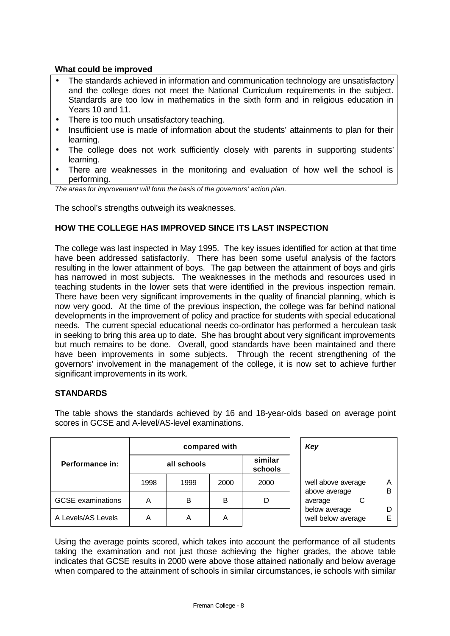## **What could be improved**

- The standards achieved in information and communication technology are unsatisfactory and the college does not meet the National Curriculum requirements in the subject. Standards are too low in mathematics in the sixth form and in religious education in Years 10 and 11.
- There is too much unsatisfactory teaching.
- Insufficient use is made of information about the students' attainments to plan for their learning.
- The college does not work sufficiently closely with parents in supporting students' learning.
- There are weaknesses in the monitoring and evaluation of how well the school is performing.

*The areas for improvement will form the basis of the governors' action plan.*

The school's strengths outweigh its weaknesses.

#### **HOW THE COLLEGE HAS IMPROVED SINCE ITS LAST INSPECTION**

The college was last inspected in May 1995. The key issues identified for action at that time have been addressed satisfactorily. There has been some useful analysis of the factors resulting in the lower attainment of boys. The gap between the attainment of boys and girls has narrowed in most subjects. The weaknesses in the methods and resources used in teaching students in the lower sets that were identified in the previous inspection remain. There have been very significant improvements in the quality of financial planning, which is now very good. At the time of the previous inspection, the college was far behind national developments in the improvement of policy and practice for students with special educational needs. The current special educational needs co-ordinator has performed a herculean task in seeking to bring this area up to date. She has brought about very significant improvements but much remains to be done. Overall, good standards have been maintained and there have been improvements in some subjects. Through the recent strengthening of the governors' involvement in the management of the college, it is now set to achieve further significant improvements in its work.

#### **STANDARDS**

|                          |                                   | compared with | Key  |      |                                     |        |
|--------------------------|-----------------------------------|---------------|------|------|-------------------------------------|--------|
| Performance in:          | similar<br>all schools<br>schools |               |      |      |                                     |        |
|                          | 1998                              | 1999          | 2000 | 2000 | well above average                  | Α<br>в |
| <b>GCSE</b> examinations | А                                 | B             | В    | D    | above average<br>С<br>average       |        |
| A Levels/AS Levels       | А                                 | Α             | A    |      | below average<br>well below average | D<br>F |

The table shows the standards achieved by 16 and 18-year-olds based on average point scores in GCSE and A-level/AS-level examinations.

Using the average points scored, which takes into account the performance of all students taking the examination and not just those achieving the higher grades, the above table indicates that GCSE results in 2000 were above those attained nationally and below average when compared to the attainment of schools in similar circumstances, ie schools with similar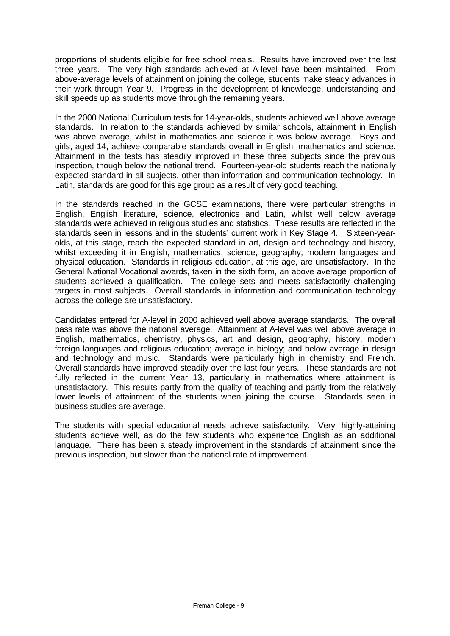proportions of students eligible for free school meals. Results have improved over the last three years. The very high standards achieved at A-level have been maintained. From above-average levels of attainment on joining the college, students make steady advances in their work through Year 9. Progress in the development of knowledge, understanding and skill speeds up as students move through the remaining years.

In the 2000 National Curriculum tests for 14-year-olds, students achieved well above average standards. In relation to the standards achieved by similar schools, attainment in English was above average, whilst in mathematics and science it was below average. Boys and girls, aged 14, achieve comparable standards overall in English, mathematics and science. Attainment in the tests has steadily improved in these three subjects since the previous inspection, though below the national trend. Fourteen-year-old students reach the nationally expected standard in all subjects, other than information and communication technology. In Latin, standards are good for this age group as a result of very good teaching.

In the standards reached in the GCSE examinations, there were particular strengths in English, English literature, science, electronics and Latin, whilst well below average standards were achieved in religious studies and statistics. These results are reflected in the standards seen in lessons and in the students' current work in Key Stage 4. Sixteen-yearolds, at this stage, reach the expected standard in art, design and technology and history, whilst exceeding it in English, mathematics, science, geography, modern languages and physical education. Standards in religious education, at this age, are unsatisfactory. In the General National Vocational awards, taken in the sixth form, an above average proportion of students achieved a qualification. The college sets and meets satisfactorily challenging targets in most subjects. Overall standards in information and communication technology across the college are unsatisfactory.

Candidates entered for A-level in 2000 achieved well above average standards. The overall pass rate was above the national average. Attainment at A-level was well above average in English, mathematics, chemistry, physics, art and design, geography, history, modern foreign languages and religious education; average in biology; and below average in design and technology and music. Standards were particularly high in chemistry and French. Overall standards have improved steadily over the last four years. These standards are not fully reflected in the current Year 13, particularly in mathematics where attainment is unsatisfactory. This results partly from the quality of teaching and partly from the relatively lower levels of attainment of the students when joining the course. Standards seen in business studies are average.

The students with special educational needs achieve satisfactorily. Very highly-attaining students achieve well, as do the few students who experience English as an additional language. There has been a steady improvement in the standards of attainment since the previous inspection, but slower than the national rate of improvement.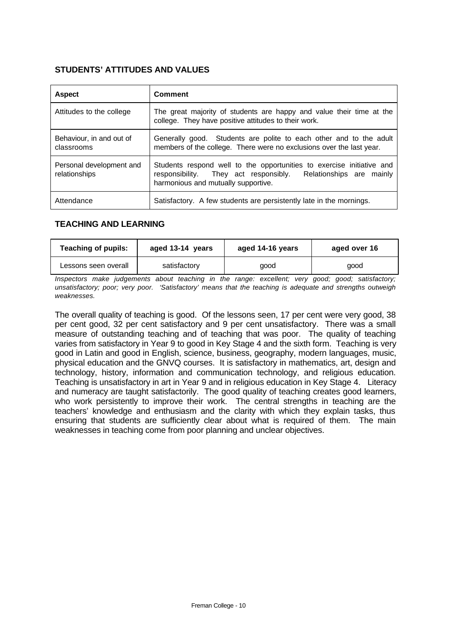#### **STUDENTS' ATTITUDES AND VALUES**

| <b>Aspect</b>                             | <b>Comment</b>                                                                                                                                                                 |
|-------------------------------------------|--------------------------------------------------------------------------------------------------------------------------------------------------------------------------------|
| Attitudes to the college                  | The great majority of students are happy and value their time at the<br>college. They have positive attitudes to their work.                                                   |
| Behaviour, in and out of<br>classrooms    | Generally good. Students are polite to each other and to the adult<br>members of the college. There were no exclusions over the last year.                                     |
| Personal development and<br>relationships | Students respond well to the opportunities to exercise initiative and<br>responsibility. They act responsibly. Relationships are mainly<br>harmonious and mutually supportive. |
| Attendance                                | Satisfactory. A few students are persistently late in the mornings.                                                                                                            |

#### **TEACHING AND LEARNING**

| <b>Teaching of pupils:</b><br>aged 13-14 years |              | aged 14-16 years | aged over 16 |  |
|------------------------------------------------|--------------|------------------|--------------|--|
| Lessons seen overall                           | satisfactory | good             | good         |  |

*Inspectors make judgements about teaching in the range: excellent; very good; good; satisfactory; unsatisfactory; poor; very poor. 'Satisfactory' means that the teaching is adequate and strengths outweigh weaknesses.*

The overall quality of teaching is good. Of the lessons seen, 17 per cent were very good, 38 per cent good, 32 per cent satisfactory and 9 per cent unsatisfactory. There was a small measure of outstanding teaching and of teaching that was poor. The quality of teaching varies from satisfactory in Year 9 to good in Key Stage 4 and the sixth form. Teaching is very good in Latin and good in English, science, business, geography, modern languages, music, physical education and the GNVQ courses. It is satisfactory in mathematics, art, design and technology, history, information and communication technology, and religious education. Teaching is unsatisfactory in art in Year 9 and in religious education in Key Stage 4. Literacy and numeracy are taught satisfactorily. The good quality of teaching creates good learners, who work persistently to improve their work. The central strengths in teaching are the teachers' knowledge and enthusiasm and the clarity with which they explain tasks, thus ensuring that students are sufficiently clear about what is required of them. The main weaknesses in teaching come from poor planning and unclear objectives.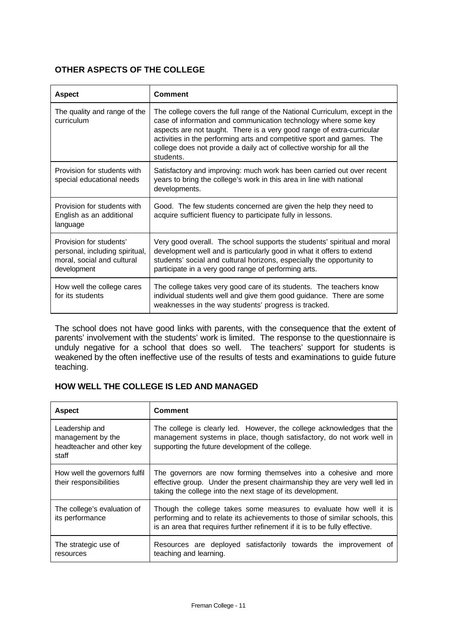## **OTHER ASPECTS OF THE COLLEGE**

| <b>Aspect</b>                                                                                          | Comment                                                                                                                                                                                                                                                                                                                                                                                   |
|--------------------------------------------------------------------------------------------------------|-------------------------------------------------------------------------------------------------------------------------------------------------------------------------------------------------------------------------------------------------------------------------------------------------------------------------------------------------------------------------------------------|
| The quality and range of the<br>curriculum                                                             | The college covers the full range of the National Curriculum, except in the<br>case of information and communication technology where some key<br>aspects are not taught. There is a very good range of extra-curricular<br>activities in the performing arts and competitive sport and games. The<br>college does not provide a daily act of collective worship for all the<br>students. |
| Provision for students with<br>special educational needs                                               | Satisfactory and improving: much work has been carried out over recent<br>years to bring the college's work in this area in line with national<br>developments.                                                                                                                                                                                                                           |
| Provision for students with<br>English as an additional<br>language                                    | Good. The few students concerned are given the help they need to<br>acquire sufficient fluency to participate fully in lessons.                                                                                                                                                                                                                                                           |
| Provision for students'<br>personal, including spiritual,<br>moral, social and cultural<br>development | Very good overall. The school supports the students' spiritual and moral<br>development well and is particularly good in what it offers to extend<br>students' social and cultural horizons, especially the opportunity to<br>participate in a very good range of performing arts.                                                                                                        |
| How well the college cares<br>for its students                                                         | The college takes very good care of its students. The teachers know<br>individual students well and give them good guidance. There are some<br>weaknesses in the way students' progress is tracked.                                                                                                                                                                                       |

The school does not have good links with parents, with the consequence that the extent of parents' involvement with the students' work is limited. The response to the questionnaire is unduly negative for a school that does so well. The teachers' support for students is weakened by the often ineffective use of the results of tests and examinations to guide future teaching.

## **HOW WELL THE COLLEGE IS LED AND MANAGED**

| <b>Aspect</b>                                                             | <b>Comment</b>                                                                                                                                                                                                                  |
|---------------------------------------------------------------------------|---------------------------------------------------------------------------------------------------------------------------------------------------------------------------------------------------------------------------------|
| Leadership and<br>management by the<br>headteacher and other key<br>staff | The college is clearly led. However, the college acknowledges that the<br>management systems in place, though satisfactory, do not work well in<br>supporting the future development of the college.                            |
| How well the governors fulfil<br>their responsibilities                   | The governors are now forming themselves into a cohesive and more<br>effective group. Under the present chairmanship they are very well led in<br>taking the college into the next stage of its development.                    |
| The college's evaluation of<br>its performance                            | Though the college takes some measures to evaluate how well it is<br>performing and to relate its achievements to those of similar schools, this<br>is an area that requires further refinement if it is to be fully effective. |
| The strategic use of<br>resources                                         | Resources are deployed satisfactorily towards the improvement of<br>teaching and learning.                                                                                                                                      |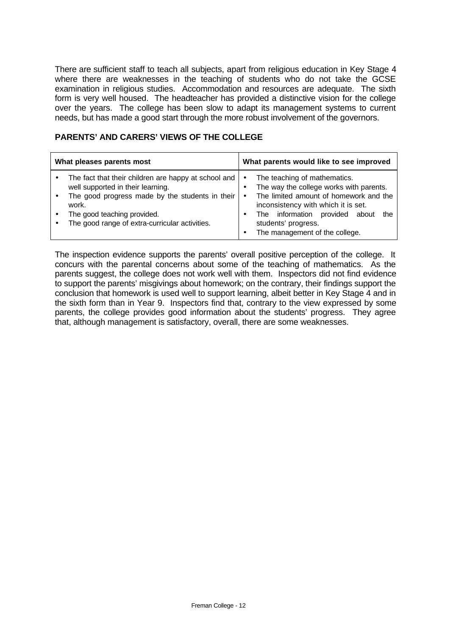There are sufficient staff to teach all subjects, apart from religious education in Key Stage 4 where there are weaknesses in the teaching of students who do not take the GCSE examination in religious studies. Accommodation and resources are adequate. The sixth form is very well housed. The headteacher has provided a distinctive vision for the college over the years. The college has been slow to adapt its management systems to current needs, but has made a good start through the more robust involvement of the governors.

| What pleases parents most |                                                                                                                                                                                                                                        |                                       | What parents would like to see improved                                                                                                                                                                                                                       |
|---------------------------|----------------------------------------------------------------------------------------------------------------------------------------------------------------------------------------------------------------------------------------|---------------------------------------|---------------------------------------------------------------------------------------------------------------------------------------------------------------------------------------------------------------------------------------------------------------|
|                           | The fact that their children are happy at school and<br>well supported in their learning.<br>The good progress made by the students in their<br>work.<br>The good teaching provided.<br>The good range of extra-curricular activities. | $\bullet$<br>٠<br>$\bullet$<br>٠<br>٠ | The teaching of mathematics.<br>The way the college works with parents.<br>The limited amount of homework and the<br>inconsistency with which it is set.<br>The information<br>provided about<br>the<br>students' progress.<br>The management of the college. |

## **PARENTS' AND CARERS' VIEWS OF THE COLLEGE**

The inspection evidence supports the parents' overall positive perception of the college. It concurs with the parental concerns about some of the teaching of mathematics. As the parents suggest, the college does not work well with them. Inspectors did not find evidence to support the parents' misgivings about homework; on the contrary, their findings support the conclusion that homework is used well to support learning, albeit better in Key Stage 4 and in the sixth form than in Year 9. Inspectors find that, contrary to the view expressed by some parents, the college provides good information about the students' progress. They agree that, although management is satisfactory, overall, there are some weaknesses.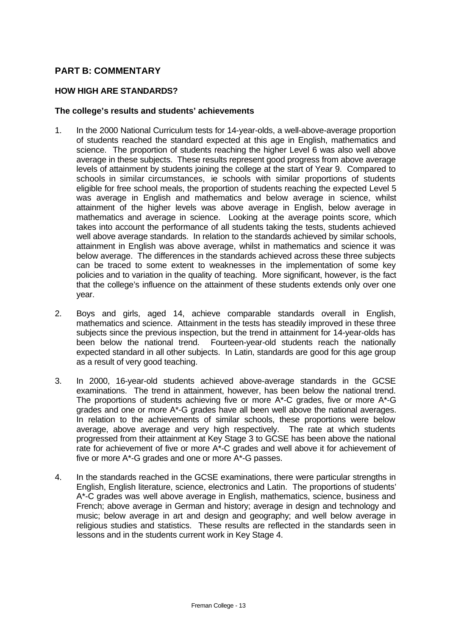## **PART B: COMMENTARY**

#### **HOW HIGH ARE STANDARDS?**

#### **The college's results and students' achievements**

- 1. In the 2000 National Curriculum tests for 14-year-olds, a well-above-average proportion of students reached the standard expected at this age in English, mathematics and science. The proportion of students reaching the higher Level 6 was also well above average in these subjects. These results represent good progress from above average levels of attainment by students joining the college at the start of Year 9. Compared to schools in similar circumstances, ie schools with similar proportions of students eligible for free school meals, the proportion of students reaching the expected Level 5 was average in English and mathematics and below average in science, whilst attainment of the higher levels was above average in English, below average in mathematics and average in science. Looking at the average points score, which takes into account the performance of all students taking the tests, students achieved well above average standards. In relation to the standards achieved by similar schools, attainment in English was above average, whilst in mathematics and science it was below average. The differences in the standards achieved across these three subjects can be traced to some extent to weaknesses in the implementation of some key policies and to variation in the quality of teaching. More significant, however, is the fact that the college's influence on the attainment of these students extends only over one year.
- 2. Boys and girls, aged 14, achieve comparable standards overall in English, mathematics and science. Attainment in the tests has steadily improved in these three subjects since the previous inspection, but the trend in attainment for 14-year-olds has been below the national trend. Fourteen-year-old students reach the nationally expected standard in all other subjects. In Latin, standards are good for this age group as a result of very good teaching.
- 3. In 2000, 16-year-old students achieved above-average standards in the GCSE examinations. The trend in attainment, however, has been below the national trend. The proportions of students achieving five or more A\*-C grades, five or more A\*-G grades and one or more A\*-G grades have all been well above the national averages. In relation to the achievements of similar schools, these proportions were below average, above average and very high respectively. The rate at which students progressed from their attainment at Key Stage 3 to GCSE has been above the national rate for achievement of five or more A\*-C grades and well above it for achievement of five or more A\*-G grades and one or more A\*-G passes.
- 4. In the standards reached in the GCSE examinations, there were particular strengths in English, English literature, science, electronics and Latin. The proportions of students' A\*-C grades was well above average in English, mathematics, science, business and French; above average in German and history; average in design and technology and music; below average in art and design and geography; and well below average in religious studies and statistics. These results are reflected in the standards seen in lessons and in the students current work in Key Stage 4.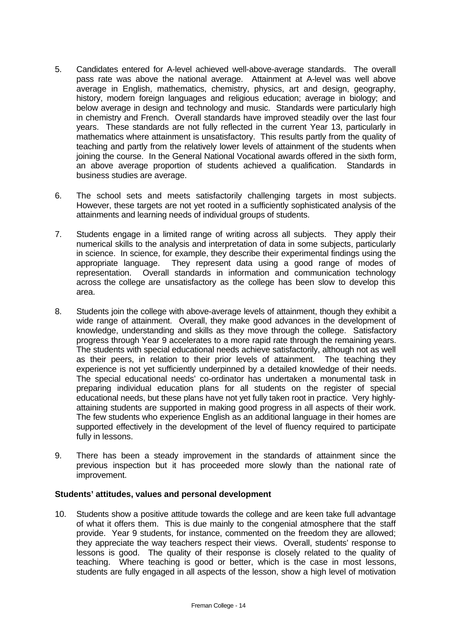- 5. Candidates entered for A-level achieved well-above-average standards. The overall pass rate was above the national average. Attainment at A-level was well above average in English, mathematics, chemistry, physics, art and design, geography, history, modern foreign languages and religious education; average in biology; and below average in design and technology and music. Standards were particularly high in chemistry and French. Overall standards have improved steadily over the last four years. These standards are not fully reflected in the current Year 13, particularly in mathematics where attainment is unsatisfactory. This results partly from the quality of teaching and partly from the relatively lower levels of attainment of the students when joining the course. In the General National Vocational awards offered in the sixth form, an above average proportion of students achieved a qualification. Standards in business studies are average.
- 6. The school sets and meets satisfactorily challenging targets in most subjects. However, these targets are not yet rooted in a sufficiently sophisticated analysis of the attainments and learning needs of individual groups of students.
- 7. Students engage in a limited range of writing across all subjects. They apply their numerical skills to the analysis and interpretation of data in some subjects, particularly in science. In science, for example, they describe their experimental findings using the appropriate language. They represent data using a good range of modes of representation. Overall standards in information and communication technology across the college are unsatisfactory as the college has been slow to develop this area.
- 8. Students join the college with above-average levels of attainment, though they exhibit a wide range of attainment. Overall, they make good advances in the development of knowledge, understanding and skills as they move through the college. Satisfactory progress through Year 9 accelerates to a more rapid rate through the remaining years. The students with special educational needs achieve satisfactorily, although not as well as their peers, in relation to their prior levels of attainment. The teaching they experience is not yet sufficiently underpinned by a detailed knowledge of their needs. The special educational needs' co-ordinator has undertaken a monumental task in preparing individual education plans for all students on the register of special educational needs, but these plans have not yet fully taken root in practice. Very highlyattaining students are supported in making good progress in all aspects of their work. The few students who experience English as an additional language in their homes are supported effectively in the development of the level of fluency required to participate fully in lessons.
- 9. There has been a steady improvement in the standards of attainment since the previous inspection but it has proceeded more slowly than the national rate of improvement.

#### **Students' attitudes, values and personal development**

10. Students show a positive attitude towards the college and are keen take full advantage of what it offers them. This is due mainly to the congenial atmosphere that the staff provide. Year 9 students, for instance, commented on the freedom they are allowed; they appreciate the way teachers respect their views. Overall, students' response to lessons is good. The quality of their response is closely related to the quality of teaching. Where teaching is good or better, which is the case in most lessons, students are fully engaged in all aspects of the lesson, show a high level of motivation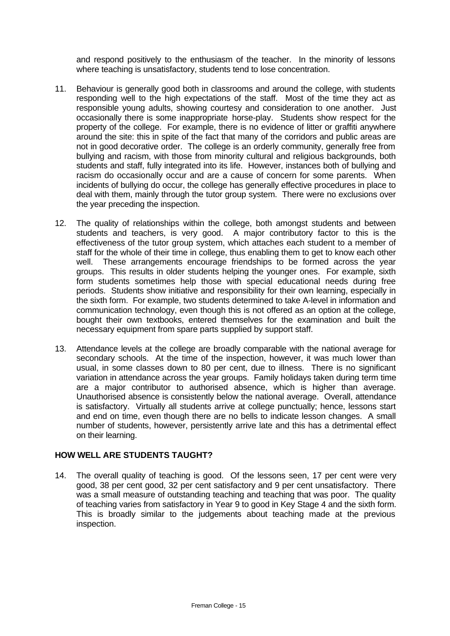and respond positively to the enthusiasm of the teacher. In the minority of lessons where teaching is unsatisfactory, students tend to lose concentration.

- 11. Behaviour is generally good both in classrooms and around the college, with students responding well to the high expectations of the staff. Most of the time they act as responsible young adults, showing courtesy and consideration to one another. Just occasionally there is some inappropriate horse-play. Students show respect for the property of the college. For example, there is no evidence of litter or graffiti anywhere around the site: this in spite of the fact that many of the corridors and public areas are not in good decorative order. The college is an orderly community, generally free from bullying and racism, with those from minority cultural and religious backgrounds, both students and staff, fully integrated into its life. However, instances both of bullying and racism do occasionally occur and are a cause of concern for some parents. When incidents of bullying do occur, the college has generally effective procedures in place to deal with them, mainly through the tutor group system. There were no exclusions over the year preceding the inspection.
- 12. The quality of relationships within the college, both amongst students and between students and teachers, is very good. A major contributory factor to this is the effectiveness of the tutor group system, which attaches each student to a member of staff for the whole of their time in college, thus enabling them to get to know each other well. These arrangements encourage friendships to be formed across the year groups. This results in older students helping the younger ones. For example, sixth form students sometimes help those with special educational needs during free periods. Students show initiative and responsibility for their own learning, especially in the sixth form. For example, two students determined to take A-level in information and communication technology, even though this is not offered as an option at the college, bought their own textbooks, entered themselves for the examination and built the necessary equipment from spare parts supplied by support staff.
- 13. Attendance levels at the college are broadly comparable with the national average for secondary schools. At the time of the inspection, however, it was much lower than usual, in some classes down to 80 per cent, due to illness. There is no significant variation in attendance across the year groups. Family holidays taken during term time are a major contributor to authorised absence, which is higher than average. Unauthorised absence is consistently below the national average. Overall, attendance is satisfactory. Virtually all students arrive at college punctually; hence, lessons start and end on time, even though there are no bells to indicate lesson changes. A small number of students, however, persistently arrive late and this has a detrimental effect on their learning.

#### **HOW WELL ARE STUDENTS TAUGHT?**

14. The overall quality of teaching is good. Of the lessons seen, 17 per cent were very good, 38 per cent good, 32 per cent satisfactory and 9 per cent unsatisfactory. There was a small measure of outstanding teaching and teaching that was poor. The quality of teaching varies from satisfactory in Year 9 to good in Key Stage 4 and the sixth form. This is broadly similar to the judgements about teaching made at the previous inspection.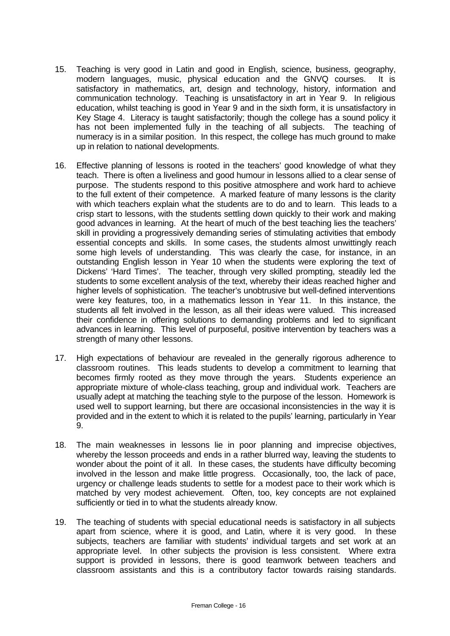- 15. Teaching is very good in Latin and good in English, science, business, geography, modern languages, music, physical education and the GNVQ courses. It is satisfactory in mathematics, art, design and technology, history, information and communication technology. Teaching is unsatisfactory in art in Year 9. In religious education, whilst teaching is good in Year 9 and in the sixth form, it is unsatisfactory in Key Stage 4. Literacy is taught satisfactorily; though the college has a sound policy it has not been implemented fully in the teaching of all subjects. The teaching of numeracy is in a similar position. In this respect, the college has much ground to make up in relation to national developments.
- 16. Effective planning of lessons is rooted in the teachers' good knowledge of what they teach. There is often a liveliness and good humour in lessons allied to a clear sense of purpose. The students respond to this positive atmosphere and work hard to achieve to the full extent of their competence. A marked feature of many lessons is the clarity with which teachers explain what the students are to do and to learn. This leads to a crisp start to lessons, with the students settling down quickly to their work and making good advances in learning. At the heart of much of the best teaching lies the teachers' skill in providing a progressively demanding series of stimulating activities that embody essential concepts and skills. In some cases, the students almost unwittingly reach some high levels of understanding. This was clearly the case, for instance, in an outstanding English lesson in Year 10 when the students were exploring the text of Dickens' 'Hard Times'. The teacher, through very skilled prompting, steadily led the students to some excellent analysis of the text, whereby their ideas reached higher and higher levels of sophistication. The teacher's unobtrusive but well-defined interventions were key features, too, in a mathematics lesson in Year 11. In this instance, the students all felt involved in the lesson, as all their ideas were valued. This increased their confidence in offering solutions to demanding problems and led to significant advances in learning. This level of purposeful, positive intervention by teachers was a strength of many other lessons.
- 17. High expectations of behaviour are revealed in the generally rigorous adherence to classroom routines. This leads students to develop a commitment to learning that becomes firmly rooted as they move through the years. Students experience an appropriate mixture of whole-class teaching, group and individual work. Teachers are usually adept at matching the teaching style to the purpose of the lesson. Homework is used well to support learning, but there are occasional inconsistencies in the way it is provided and in the extent to which it is related to the pupils' learning, particularly in Year 9.
- 18. The main weaknesses in lessons lie in poor planning and imprecise objectives, whereby the lesson proceeds and ends in a rather blurred way, leaving the students to wonder about the point of it all. In these cases, the students have difficulty becoming involved in the lesson and make little progress. Occasionally, too, the lack of pace, urgency or challenge leads students to settle for a modest pace to their work which is matched by very modest achievement. Often, too, key concepts are not explained sufficiently or tied in to what the students already know.
- 19. The teaching of students with special educational needs is satisfactory in all subjects apart from science, where it is good, and Latin, where it is very good. In these subjects, teachers are familiar with students' individual targets and set work at an appropriate level. In other subjects the provision is less consistent. Where extra support is provided in lessons, there is good teamwork between teachers and classroom assistants and this is a contributory factor towards raising standards.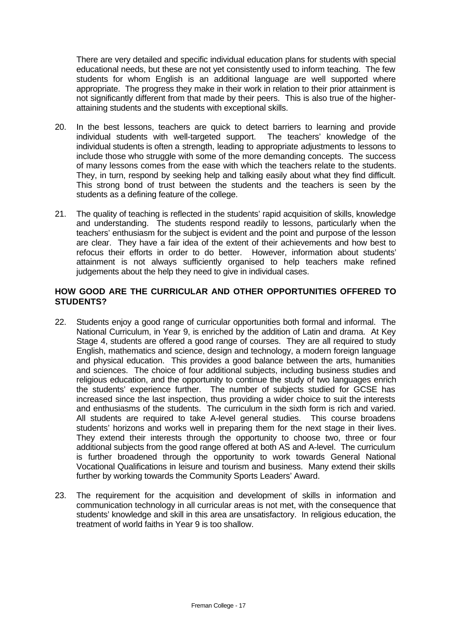There are very detailed and specific individual education plans for students with special educational needs, but these are not yet consistently used to inform teaching. The few students for whom English is an additional language are well supported where appropriate. The progress they make in their work in relation to their prior attainment is not significantly different from that made by their peers. This is also true of the higherattaining students and the students with exceptional skills.

- 20. In the best lessons, teachers are quick to detect barriers to learning and provide individual students with well-targeted support. The teachers' knowledge of the individual students is often a strength, leading to appropriate adjustments to lessons to include those who struggle with some of the more demanding concepts. The success of many lessons comes from the ease with which the teachers relate to the students. They, in turn, respond by seeking help and talking easily about what they find difficult. This strong bond of trust between the students and the teachers is seen by the students as a defining feature of the college.
- 21. The quality of teaching is reflected in the students' rapid acquisition of skills, knowledge and understanding. The students respond readily to lessons, particularly when the teachers' enthusiasm for the subject is evident and the point and purpose of the lesson are clear. They have a fair idea of the extent of their achievements and how best to refocus their efforts in order to do better. However, information about students' attainment is not always sufficiently organised to help teachers make refined judgements about the help they need to give in individual cases.

#### **HOW GOOD ARE THE CURRICULAR AND OTHER OPPORTUNITIES OFFERED TO STUDENTS?**

- 22. Students enjoy a good range of curricular opportunities both formal and informal. The National Curriculum, in Year 9, is enriched by the addition of Latin and drama. At Key Stage 4, students are offered a good range of courses. They are all required to study English, mathematics and science, design and technology, a modern foreign language and physical education. This provides a good balance between the arts, humanities and sciences. The choice of four additional subjects, including business studies and religious education, and the opportunity to continue the study of two languages enrich the students' experience further. The number of subjects studied for GCSE has increased since the last inspection, thus providing a wider choice to suit the interests and enthusiasms of the students. The curriculum in the sixth form is rich and varied. All students are required to take A-level general studies. This course broadens students' horizons and works well in preparing them for the next stage in their lives. They extend their interests through the opportunity to choose two, three or four additional subjects from the good range offered at both AS and A-level. The curriculum is further broadened through the opportunity to work towards General National Vocational Qualifications in leisure and tourism and business. Many extend their skills further by working towards the Community Sports Leaders' Award.
- 23. The requirement for the acquisition and development of skills in information and communication technology in all curricular areas is not met, with the consequence that students' knowledge and skill in this area are unsatisfactory. In religious education, the treatment of world faiths in Year 9 is too shallow.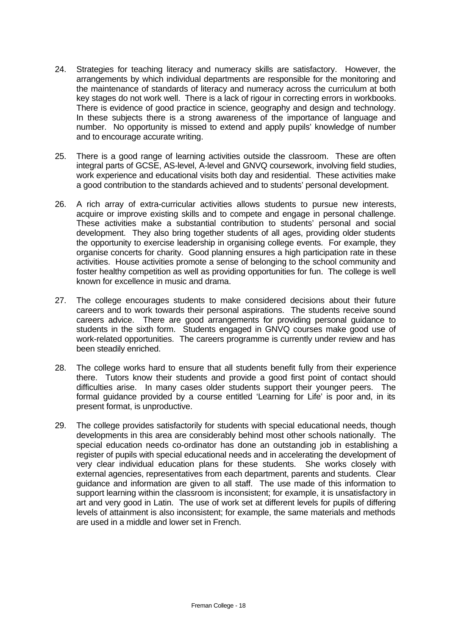- 24. Strategies for teaching literacy and numeracy skills are satisfactory. However, the arrangements by which individual departments are responsible for the monitoring and the maintenance of standards of literacy and numeracy across the curriculum at both key stages do not work well. There is a lack of rigour in correcting errors in workbooks. There is evidence of good practice in science, geography and design and technology. In these subjects there is a strong awareness of the importance of language and number. No opportunity is missed to extend and apply pupils' knowledge of number and to encourage accurate writing.
- 25. There is a good range of learning activities outside the classroom. These are often integral parts of GCSE, AS-level, A-level and GNVQ coursework, involving field studies, work experience and educational visits both day and residential. These activities make a good contribution to the standards achieved and to students' personal development.
- 26. A rich array of extra-curricular activities allows students to pursue new interests, acquire or improve existing skills and to compete and engage in personal challenge. These activities make a substantial contribution to students' personal and social development. They also bring together students of all ages, providing older students the opportunity to exercise leadership in organising college events. For example, they organise concerts for charity. Good planning ensures a high participation rate in these activities. House activities promote a sense of belonging to the school community and foster healthy competition as well as providing opportunities for fun. The college is well known for excellence in music and drama.
- 27. The college encourages students to make considered decisions about their future careers and to work towards their personal aspirations. The students receive sound careers advice. There are good arrangements for providing personal guidance to students in the sixth form. Students engaged in GNVQ courses make good use of work-related opportunities. The careers programme is currently under review and has been steadily enriched.
- 28. The college works hard to ensure that all students benefit fully from their experience there. Tutors know their students and provide a good first point of contact should difficulties arise. In many cases older students support their younger peers. The formal guidance provided by a course entitled 'Learning for Life' is poor and, in its present format, is unproductive.
- 29. The college provides satisfactorily for students with special educational needs, though developments in this area are considerably behind most other schools nationally. The special education needs co-ordinator has done an outstanding job in establishing a register of pupils with special educational needs and in accelerating the development of very clear individual education plans for these students. She works closely with external agencies, representatives from each department, parents and students. Clear guidance and information are given to all staff. The use made of this information to support learning within the classroom is inconsistent; for example, it is unsatisfactory in art and very good in Latin. The use of work set at different levels for pupils of differing levels of attainment is also inconsistent; for example, the same materials and methods are used in a middle and lower set in French.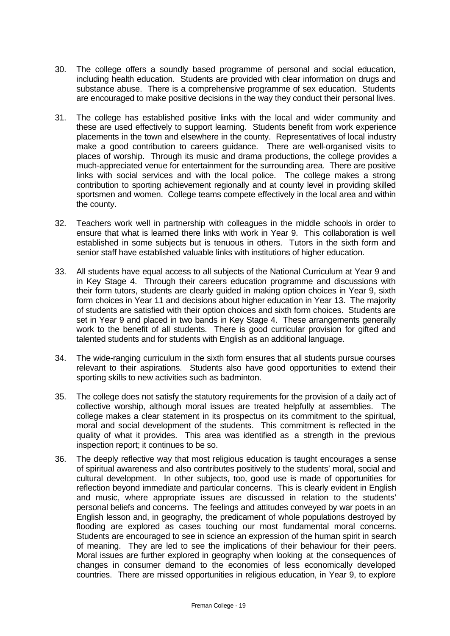- 30. The college offers a soundly based programme of personal and social education, including health education. Students are provided with clear information on drugs and substance abuse. There is a comprehensive programme of sex education. Students are encouraged to make positive decisions in the way they conduct their personal lives.
- 31. The college has established positive links with the local and wider community and these are used effectively to support learning. Students benefit from work experience placements in the town and elsewhere in the county. Representatives of local industry make a good contribution to careers guidance. There are well-organised visits to places of worship. Through its music and drama productions, the college provides a much-appreciated venue for entertainment for the surrounding area. There are positive links with social services and with the local police. The college makes a strong contribution to sporting achievement regionally and at county level in providing skilled sportsmen and women. College teams compete effectively in the local area and within the county.
- 32. Teachers work well in partnership with colleagues in the middle schools in order to ensure that what is learned there links with work in Year 9. This collaboration is well established in some subjects but is tenuous in others. Tutors in the sixth form and senior staff have established valuable links with institutions of higher education.
- 33. All students have equal access to all subjects of the National Curriculum at Year 9 and in Key Stage 4. Through their careers education programme and discussions with their form tutors, students are clearly guided in making option choices in Year 9, sixth form choices in Year 11 and decisions about higher education in Year 13. The majority of students are satisfied with their option choices and sixth form choices. Students are set in Year 9 and placed in two bands in Key Stage 4. These arrangements generally work to the benefit of all students. There is good curricular provision for gifted and talented students and for students with English as an additional language.
- 34. The wide-ranging curriculum in the sixth form ensures that all students pursue courses relevant to their aspirations. Students also have good opportunities to extend their sporting skills to new activities such as badminton.
- 35. The college does not satisfy the statutory requirements for the provision of a daily act of collective worship, although moral issues are treated helpfully at assemblies. The college makes a clear statement in its prospectus on its commitment to the spiritual, moral and social development of the students. This commitment is reflected in the quality of what it provides. This area was identified as a strength in the previous inspection report; it continues to be so.
- 36. The deeply reflective way that most religious education is taught encourages a sense of spiritual awareness and also contributes positively to the students' moral, social and cultural development. In other subjects, too, good use is made of opportunities for reflection beyond immediate and particular concerns. This is clearly evident in English and music, where appropriate issues are discussed in relation to the students' personal beliefs and concerns. The feelings and attitudes conveyed by war poets in an English lesson and, in geography, the predicament of whole populations destroyed by flooding are explored as cases touching our most fundamental moral concerns. Students are encouraged to see in science an expression of the human spirit in search of meaning. They are led to see the implications of their behaviour for their peers. Moral issues are further explored in geography when looking at the consequences of changes in consumer demand to the economies of less economically developed countries. There are missed opportunities in religious education, in Year 9, to explore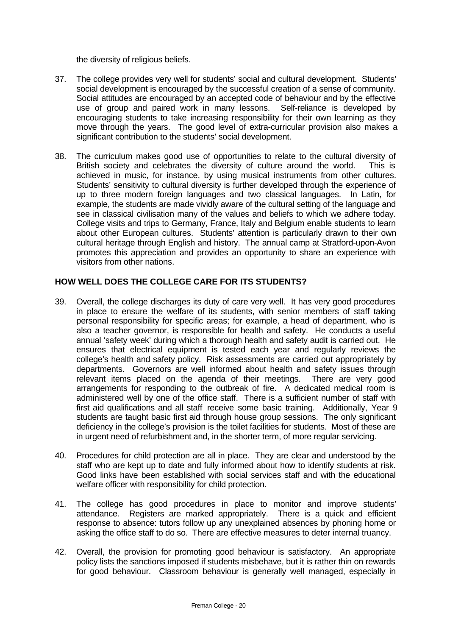the diversity of religious beliefs.

- 37. The college provides very well for students' social and cultural development. Students' social development is encouraged by the successful creation of a sense of community. Social attitudes are encouraged by an accepted code of behaviour and by the effective use of group and paired work in many lessons. Self-reliance is developed by encouraging students to take increasing responsibility for their own learning as they move through the years. The good level of extra-curricular provision also makes a significant contribution to the students' social development.
- 38. The curriculum makes good use of opportunities to relate to the cultural diversity of British society and celebrates the diversity of culture around the world. This is achieved in music, for instance, by using musical instruments from other cultures. Students' sensitivity to cultural diversity is further developed through the experience of up to three modern foreign languages and two classical languages. In Latin, for example, the students are made vividly aware of the cultural setting of the language and see in classical civilisation many of the values and beliefs to which we adhere today. College visits and trips to Germany, France, Italy and Belgium enable students to learn about other European cultures. Students' attention is particularly drawn to their own cultural heritage through English and history. The annual camp at Stratford-upon-Avon promotes this appreciation and provides an opportunity to share an experience with visitors from other nations.

#### **HOW WELL DOES THE COLLEGE CARE FOR ITS STUDENTS?**

- 39. Overall, the college discharges its duty of care very well. It has very good procedures in place to ensure the welfare of its students, with senior members of staff taking personal responsibility for specific areas; for example, a head of department, who is also a teacher governor, is responsible for health and safety. He conducts a useful annual 'safety week' during which a thorough health and safety audit is carried out. He ensures that electrical equipment is tested each year and regularly reviews the college's health and safety policy. Risk assessments are carried out appropriately by departments. Governors are well informed about health and safety issues through relevant items placed on the agenda of their meetings. There are very good arrangements for responding to the outbreak of fire. A dedicated medical room is administered well by one of the office staff. There is a sufficient number of staff with first aid qualifications and all staff receive some basic training. Additionally, Year 9 students are taught basic first aid through house group sessions. The only significant deficiency in the college's provision is the toilet facilities for students. Most of these are in urgent need of refurbishment and, in the shorter term, of more regular servicing.
- 40. Procedures for child protection are all in place. They are clear and understood by the staff who are kept up to date and fully informed about how to identify students at risk. Good links have been established with social services staff and with the educational welfare officer with responsibility for child protection.
- 41. The college has good procedures in place to monitor and improve students' attendance. Registers are marked appropriately. There is a quick and efficient response to absence: tutors follow up any unexplained absences by phoning home or asking the office staff to do so. There are effective measures to deter internal truancy.
- 42. Overall, the provision for promoting good behaviour is satisfactory. An appropriate policy lists the sanctions imposed if students misbehave, but it is rather thin on rewards for good behaviour. Classroom behaviour is generally well managed, especially in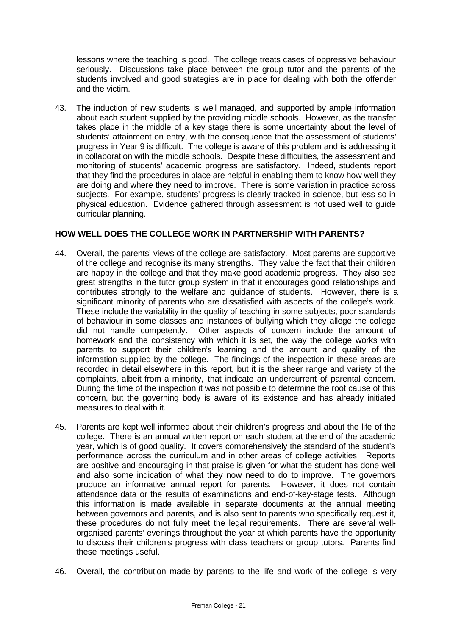lessons where the teaching is good. The college treats cases of oppressive behaviour seriously. Discussions take place between the group tutor and the parents of the students involved and good strategies are in place for dealing with both the offender and the victim.

43. The induction of new students is well managed, and supported by ample information about each student supplied by the providing middle schools. However, as the transfer takes place in the middle of a key stage there is some uncertainty about the level of students' attainment on entry, with the consequence that the assessment of students' progress in Year 9 is difficult. The college is aware of this problem and is addressing it in collaboration with the middle schools. Despite these difficulties, the assessment and monitoring of students' academic progress are satisfactory. Indeed, students report that they find the procedures in place are helpful in enabling them to know how well they are doing and where they need to improve. There is some variation in practice across subjects. For example, students' progress is clearly tracked in science, but less so in physical education. Evidence gathered through assessment is not used well to guide curricular planning.

#### **HOW WELL DOES THE COLLEGE WORK IN PARTNERSHIP WITH PARENTS?**

- 44. Overall, the parents' views of the college are satisfactory. Most parents are supportive of the college and recognise its many strengths. They value the fact that their children are happy in the college and that they make good academic progress. They also see great strengths in the tutor group system in that it encourages good relationships and contributes strongly to the welfare and guidance of students. However, there is a significant minority of parents who are dissatisfied with aspects of the college's work. These include the variability in the quality of teaching in some subjects, poor standards of behaviour in some classes and instances of bullying which they allege the college did not handle competently. Other aspects of concern include the amount of homework and the consistency with which it is set, the way the college works with parents to support their children's learning and the amount and quality of the information supplied by the college. The findings of the inspection in these areas are recorded in detail elsewhere in this report, but it is the sheer range and variety of the complaints, albeit from a minority, that indicate an undercurrent of parental concern. During the time of the inspection it was not possible to determine the root cause of this concern, but the governing body is aware of its existence and has already initiated measures to deal with it.
- 45. Parents are kept well informed about their children's progress and about the life of the college. There is an annual written report on each student at the end of the academic year, which is of good quality. It covers comprehensively the standard of the student's performance across the curriculum and in other areas of college activities. Reports are positive and encouraging in that praise is given for what the student has done well and also some indication of what they now need to do to improve. The governors produce an informative annual report for parents. However, it does not contain attendance data or the results of examinations and end-of-key-stage tests. Although this information is made available in separate documents at the annual meeting between governors and parents, and is also sent to parents who specifically request it, these procedures do not fully meet the legal requirements. There are several wellorganised parents' evenings throughout the year at which parents have the opportunity to discuss their children's progress with class teachers or group tutors. Parents find these meetings useful.
- 46. Overall, the contribution made by parents to the life and work of the college is very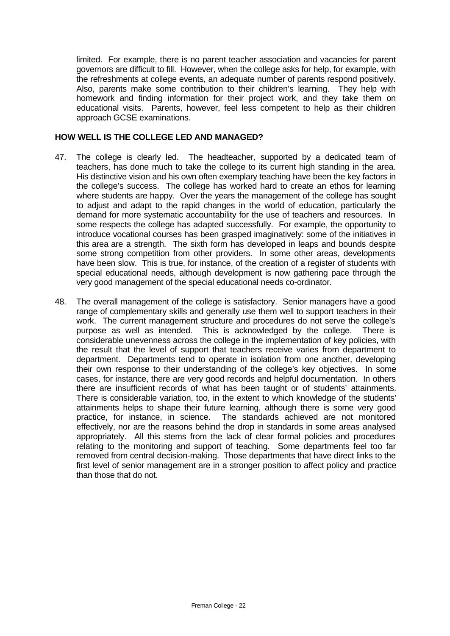limited. For example, there is no parent teacher association and vacancies for parent governors are difficult to fill. However, when the college asks for help, for example, with the refreshments at college events, an adequate number of parents respond positively. Also, parents make some contribution to their children's learning. They help with homework and finding information for their project work, and they take them on educational visits. Parents, however, feel less competent to help as their children approach GCSE examinations.

#### **HOW WELL IS THE COLLEGE LED AND MANAGED?**

- 47. The college is clearly led. The headteacher, supported by a dedicated team of teachers, has done much to take the college to its current high standing in the area. His distinctive vision and his own often exemplary teaching have been the key factors in the college's success. The college has worked hard to create an ethos for learning where students are happy. Over the years the management of the college has sought to adjust and adapt to the rapid changes in the world of education, particularly the demand for more systematic accountability for the use of teachers and resources. In some respects the college has adapted successfully. For example, the opportunity to introduce vocational courses has been grasped imaginatively: some of the initiatives in this area are a strength. The sixth form has developed in leaps and bounds despite some strong competition from other providers. In some other areas, developments have been slow. This is true, for instance, of the creation of a register of students with special educational needs, although development is now gathering pace through the very good management of the special educational needs co-ordinator.
- 48. The overall management of the college is satisfactory. Senior managers have a good range of complementary skills and generally use them well to support teachers in their work. The current management structure and procedures do not serve the college's purpose as well as intended. This is acknowledged by the college. There is considerable unevenness across the college in the implementation of key policies, with the result that the level of support that teachers receive varies from department to department. Departments tend to operate in isolation from one another, developing their own response to their understanding of the college's key objectives. In some cases, for instance, there are very good records and helpful documentation. In others there are insufficient records of what has been taught or of students' attainments. There is considerable variation, too, in the extent to which knowledge of the students' attainments helps to shape their future learning, although there is some very good practice, for instance, in science. The standards achieved are not monitored effectively, nor are the reasons behind the drop in standards in some areas analysed appropriately. All this stems from the lack of clear formal policies and procedures relating to the monitoring and support of teaching. Some departments feel too far removed from central decision-making. Those departments that have direct links to the first level of senior management are in a stronger position to affect policy and practice than those that do not.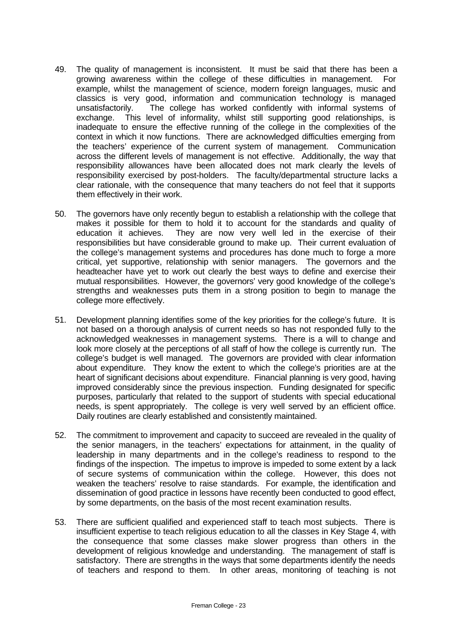- 49. The quality of management is inconsistent. It must be said that there has been a growing awareness within the college of these difficulties in management. For example, whilst the management of science, modern foreign languages, music and classics is very good, information and communication technology is managed unsatisfactorily. The college has worked confidently with informal systems of exchange. This level of informality, whilst still supporting good relationships, is inadequate to ensure the effective running of the college in the complexities of the context in which it now functions. There are acknowledged difficulties emerging from the teachers' experience of the current system of management. Communication across the different levels of management is not effective. Additionally, the way that responsibility allowances have been allocated does not mark clearly the levels of responsibility exercised by post-holders. The faculty/departmental structure lacks a clear rationale, with the consequence that many teachers do not feel that it supports them effectively in their work.
- 50. The governors have only recently begun to establish a relationship with the college that makes it possible for them to hold it to account for the standards and quality of education it achieves. They are now very well led in the exercise of their responsibilities but have considerable ground to make up. Their current evaluation of the college's management systems and procedures has done much to forge a more critical, yet supportive, relationship with senior managers. The governors and the headteacher have yet to work out clearly the best ways to define and exercise their mutual responsibilities. However, the governors' very good knowledge of the college's strengths and weaknesses puts them in a strong position to begin to manage the college more effectively.
- 51. Development planning identifies some of the key priorities for the college's future. It is not based on a thorough analysis of current needs so has not responded fully to the acknowledged weaknesses in management systems. There is a will to change and look more closely at the perceptions of all staff of how the college is currently run. The college's budget is well managed. The governors are provided with clear information about expenditure. They know the extent to which the college's priorities are at the heart of significant decisions about expenditure. Financial planning is very good, having improved considerably since the previous inspection. Funding designated for specific purposes, particularly that related to the support of students with special educational needs, is spent appropriately. The college is very well served by an efficient office. Daily routines are clearly established and consistently maintained.
- 52. The commitment to improvement and capacity to succeed are revealed in the quality of the senior managers, in the teachers' expectations for attainment, in the quality of leadership in many departments and in the college's readiness to respond to the findings of the inspection. The impetus to improve is impeded to some extent by a lack of secure systems of communication within the college. However, this does not weaken the teachers' resolve to raise standards. For example, the identification and dissemination of good practice in lessons have recently been conducted to good effect, by some departments, on the basis of the most recent examination results.
- 53. There are sufficient qualified and experienced staff to teach most subjects. There is insufficient expertise to teach religious education to all the classes in Key Stage 4, with the consequence that some classes make slower progress than others in the development of religious knowledge and understanding. The management of staff is satisfactory. There are strengths in the ways that some departments identify the needs of teachers and respond to them. In other areas, monitoring of teaching is not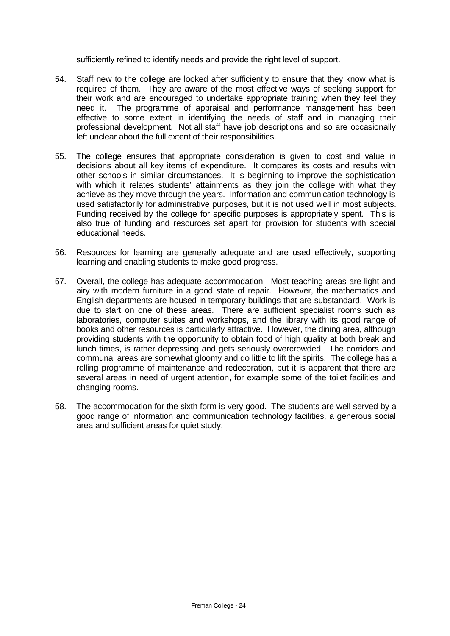sufficiently refined to identify needs and provide the right level of support.

- 54. Staff new to the college are looked after sufficiently to ensure that they know what is required of them. They are aware of the most effective ways of seeking support for their work and are encouraged to undertake appropriate training when they feel they need it. The programme of appraisal and performance management has been effective to some extent in identifying the needs of staff and in managing their professional development. Not all staff have job descriptions and so are occasionally left unclear about the full extent of their responsibilities.
- 55. The college ensures that appropriate consideration is given to cost and value in decisions about all key items of expenditure. It compares its costs and results with other schools in similar circumstances. It is beginning to improve the sophistication with which it relates students' attainments as they join the college with what they achieve as they move through the years. Information and communication technology is used satisfactorily for administrative purposes, but it is not used well in most subjects. Funding received by the college for specific purposes is appropriately spent. This is also true of funding and resources set apart for provision for students with special educational needs.
- 56. Resources for learning are generally adequate and are used effectively, supporting learning and enabling students to make good progress.
- 57. Overall, the college has adequate accommodation. Most teaching areas are light and airy with modern furniture in a good state of repair. However, the mathematics and English departments are housed in temporary buildings that are substandard. Work is due to start on one of these areas. There are sufficient specialist rooms such as laboratories, computer suites and workshops, and the library with its good range of books and other resources is particularly attractive. However, the dining area, although providing students with the opportunity to obtain food of high quality at both break and lunch times, is rather depressing and gets seriously overcrowded. The corridors and communal areas are somewhat gloomy and do little to lift the spirits. The college has a rolling programme of maintenance and redecoration, but it is apparent that there are several areas in need of urgent attention, for example some of the toilet facilities and changing rooms.
- 58. The accommodation for the sixth form is very good. The students are well served by a good range of information and communication technology facilities, a generous social area and sufficient areas for quiet study.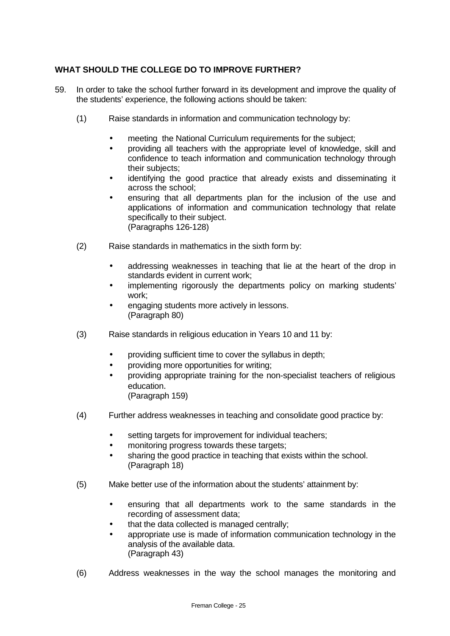## **WHAT SHOULD THE COLLEGE DO TO IMPROVE FURTHER?**

- 59. In order to take the school further forward in its development and improve the quality of the students' experience, the following actions should be taken:
	- (1) Raise standards in information and communication technology by:
		- meeting the National Curriculum requirements for the subject;
		- providing all teachers with the appropriate level of knowledge, skill and confidence to teach information and communication technology through their subjects;
		- identifying the good practice that already exists and disseminating it across the school;
		- ensuring that all departments plan for the inclusion of the use and applications of information and communication technology that relate specifically to their subject. (Paragraphs 126-128)
	- (2) Raise standards in mathematics in the sixth form by:
		- addressing weaknesses in teaching that lie at the heart of the drop in standards evident in current work;
		- implementing rigorously the departments policy on marking students' work;
		- engaging students more actively in lessons. (Paragraph 80)
	- (3) Raise standards in religious education in Years 10 and 11 by:
		- providing sufficient time to cover the syllabus in depth;
		- providing more opportunities for writing;
		- providing appropriate training for the non-specialist teachers of religious education.
			- (Paragraph 159)
	- (4) Further address weaknesses in teaching and consolidate good practice by:
		- setting targets for improvement for individual teachers;
		- monitoring progress towards these targets;
		- sharing the good practice in teaching that exists within the school. (Paragraph 18)
	- (5) Make better use of the information about the students' attainment by:
		- ensuring that all departments work to the same standards in the recording of assessment data;
		- that the data collected is managed centrally;
		- appropriate use is made of information communication technology in the analysis of the available data. (Paragraph 43)
	- (6) Address weaknesses in the way the school manages the monitoring and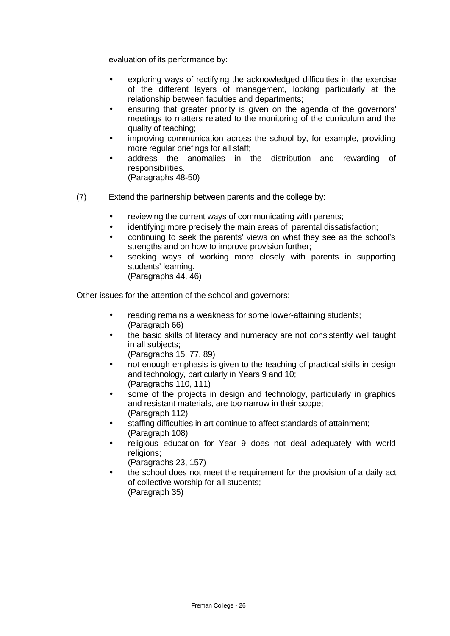evaluation of its performance by:

- exploring ways of rectifying the acknowledged difficulties in the exercise of the different layers of management, looking particularly at the relationship between faculties and departments;
- ensuring that greater priority is given on the agenda of the governors' meetings to matters related to the monitoring of the curriculum and the quality of teaching;
- improving communication across the school by, for example, providing more regular briefings for all staff;
- address the anomalies in the distribution and rewarding of responsibilities. (Paragraphs 48-50)
- (7) Extend the partnership between parents and the college by:
	- reviewing the current ways of communicating with parents;
	- identifying more precisely the main areas of parental dissatisfaction;
	- continuing to seek the parents' views on what they see as the school's strengths and on how to improve provision further;
	- seeking ways of working more closely with parents in supporting students' learning. (Paragraphs 44, 46)

Other issues for the attention of the school and governors:

- reading remains a weakness for some lower-attaining students; (Paragraph 66)
- the basic skills of literacy and numeracy are not consistently well taught in all subjects;
	- (Paragraphs 15, 77, 89)
- not enough emphasis is given to the teaching of practical skills in design and technology, particularly in Years 9 and 10; (Paragraphs 110, 111)
- some of the projects in design and technology, particularly in graphics and resistant materials, are too narrow in their scope; (Paragraph 112)
- staffing difficulties in art continue to affect standards of attainment; (Paragraph 108)
- religious education for Year 9 does not deal adequately with world religions;

(Paragraphs 23, 157)

• the school does not meet the requirement for the provision of a daily act of collective worship for all students; (Paragraph 35)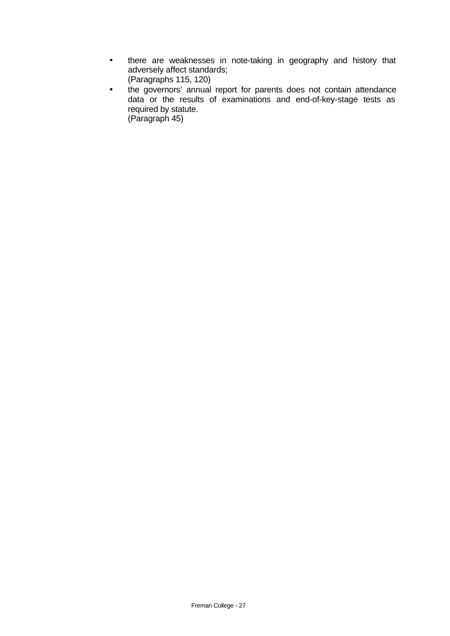- there are weaknesses in note-taking in geography and history that adversely affect standards;
	- (Paragraphs 115, 120)
- the governors' annual report for parents does not contain attendance data or the results of examinations and end-of-key-stage tests as required by statute. (Paragraph 45)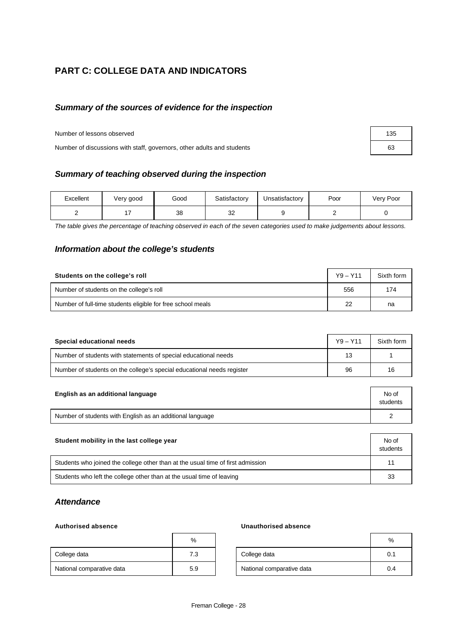# **PART C: COLLEGE DATA AND INDICATORS**

#### *Summary of the sources of evidence for the inspection*

Number of lessons observed 135

Number of discussions with staff, governors, other adults and students 63

# *Summary of teaching observed during the inspection*

| Excellent | Very good | Good | Satisfactory | Unsatisfactory | Poor | Very Poor |
|-----------|-----------|------|--------------|----------------|------|-----------|
|           |           | 38   | nn<br>ັ      |                |      |           |

*The table gives the percentage of teaching observed in each of the seven categories used to make judgements about lessons.*

#### *Information about the college's students*

| Students on the college's roll                              | $Y9 - Y11$ | Sixth form |
|-------------------------------------------------------------|------------|------------|
| Number of students on the college's roll                    | 556        | 174        |
| Number of full-time students eligible for free school meals | 22         | na         |

| Special educational needs                                              | $Y9 - Y11$ | Sixth form |
|------------------------------------------------------------------------|------------|------------|
| Number of students with statements of special educational needs        | 13         |            |
| Number of students on the college's special educational needs register | 96         | 16         |

| English as an additional language                         | No of<br>students |
|-----------------------------------------------------------|-------------------|
| Number of students with English as an additional language |                   |

| Student mobility in the last college year                                       | No of<br>students |
|---------------------------------------------------------------------------------|-------------------|
| Students who joined the college other than at the usual time of first admission | 11                |
| Students who left the college other than at the usual time of leaving           | 33                |

#### *Attendance*

|                           | %   |
|---------------------------|-----|
| College data              | 7.3 |
| National comparative data | 5.9 |

#### **Authorised absence Unauthorised absence**

|                           | %   |                           | %   |
|---------------------------|-----|---------------------------|-----|
| College data              | 7.3 | College data              | 0.1 |
| National comparative data | 5.9 | National comparative data | 0.4 |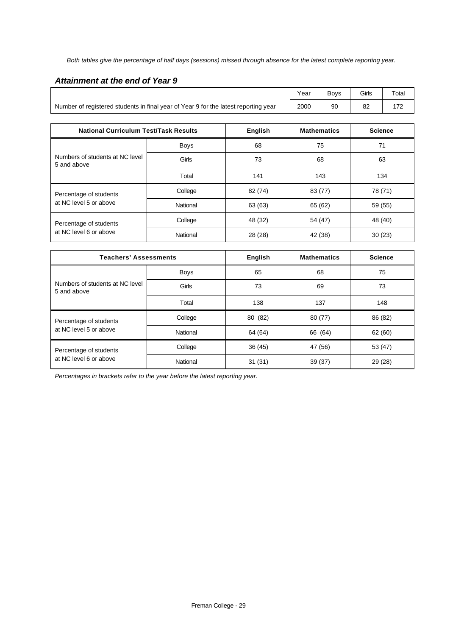*Both tables give the percentage of half days (sessions) missed through absence for the latest complete reporting year.*

#### *Attainment at the end of Year 9*

|                                                                                     | Year | <b>Bovs</b> | Girls | Total |
|-------------------------------------------------------------------------------------|------|-------------|-------|-------|
| Number of registered students in final year of Year 9 for the latest reporting year | 2000 | 90          |       |       |

| <b>National Curriculum Test/Task Results</b>     |             | English | <b>Mathematics</b> | <b>Science</b> |
|--------------------------------------------------|-------------|---------|--------------------|----------------|
| Numbers of students at NC level<br>5 and above   | <b>Boys</b> | 68      | 75                 | 71             |
|                                                  | Girls       | 73      | 68                 | 63             |
|                                                  | Total       | 141     | 143                | 134            |
| Percentage of students<br>at NC level 5 or above | College     | 82 (74) | 83 (77)            | 78 (71)        |
|                                                  | National    | 63 (63) | 65 (62)            | 59 (55)        |
| Percentage of students<br>at NC level 6 or above | College     | 48 (32) | 54 (47)            | 48 (40)        |
|                                                  | National    | 28 (28) | 42 (38)            | 30(23)         |

| <b>Teachers' Assessments</b>                     |             | <b>English</b> | <b>Mathematics</b> | <b>Science</b> |
|--------------------------------------------------|-------------|----------------|--------------------|----------------|
|                                                  | <b>Boys</b> | 65             | 68                 | 75             |
| Numbers of students at NC level<br>5 and above   | Girls       | 73             | 69                 | 73             |
|                                                  | Total       | 138            | 137                | 148            |
| Percentage of students<br>at NC level 5 or above | College     | 80 (82)        | 80 (77)            | 86 (82)        |
|                                                  | National    | 64 (64)        | 66 (64)            | 62 (60)        |
| Percentage of students<br>at NC level 6 or above | College     | 36(45)         | 47 (56)            | 53 (47)        |
|                                                  | National    | 31(31)         | 39 (37)            | 29 (28)        |

*Percentages in brackets refer to the year before the latest reporting year.*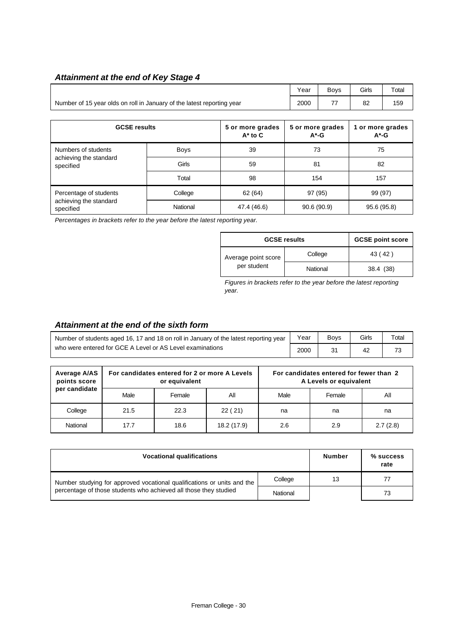#### *Attainment at the end of Key Stage 4*

|                                                                        | Year        | <b>Boys</b> | Girls      | Total                        |                              |  |  |
|------------------------------------------------------------------------|-------------|-------------|------------|------------------------------|------------------------------|--|--|
| Number of 15 year olds on roll in January of the latest reporting year | 2000        | 77          | 82         | 159                          |                              |  |  |
|                                                                        |             |             |            |                              |                              |  |  |
| <b>GCSE results</b><br>5 or more grades<br>$A^*$ to $C$                |             |             |            | 5 or more grades<br>$A^*$ -G | 1 or more grades<br>$A^*$ -G |  |  |
| Numbers of students<br>achieving the standard<br>specified             | <b>Boys</b> | 39          | 73         |                              | 75                           |  |  |
|                                                                        | Girls       | 59          | 81         |                              | 82                           |  |  |
|                                                                        | Total       | 98          | 154        |                              | 157                          |  |  |
| Percentage of students<br>achieving the standard<br>specified          | College     | 62 (64)     | 97 (95)    |                              | 99 (97)                      |  |  |
|                                                                        | National    | 47.4 (46.6) | 90.6(90.9) |                              | 95.6 (95.8)                  |  |  |

*Percentages in brackets refer to the year before the latest reporting year.*

| <b>GCSE results</b>                | <b>GCSE point score</b> |           |
|------------------------------------|-------------------------|-----------|
| Average point score<br>per student | College                 | 43 (42)   |
|                                    | National                | 38.4 (38) |

*Figures in brackets refer to the year before the latest reporting year.*

#### *Attainment at the end of the sixth form*

| Number of students aged 16, 17 and 18 on roll in January of the latest reporting year |      | <b>Bovs</b> | Girls | $\tau$ <sub>otal</sub> |
|---------------------------------------------------------------------------------------|------|-------------|-------|------------------------|
| who were entered for GCE A Level or AS Level examinations                             | 2000 |             |       | 73                     |

| Average A/AS<br>points score |      | For candidates entered for 2 or more A Levels<br>or equivalent |             |      | For candidates entered for fewer than 2<br>A Levels or equivalent |          |
|------------------------------|------|----------------------------------------------------------------|-------------|------|-------------------------------------------------------------------|----------|
| per candidate                | Male | Female                                                         | All         | Male | Female                                                            | All      |
| College                      | 21.5 | 22.3                                                           | 22(21)      | na   | na                                                                | na       |
| National                     | 17.7 | 18.6                                                           | 18.2 (17.9) | 2.6  | 2.9                                                               | 2.7(2.8) |

| <b>Vocational qualifications</b>                                        | <b>Number</b> | $%$ success<br>rate |    |
|-------------------------------------------------------------------------|---------------|---------------------|----|
| Number studying for approved vocational qualifications or units and the | College       | 13                  |    |
| percentage of those students who achieved all those they studied        | National      |                     | 73 |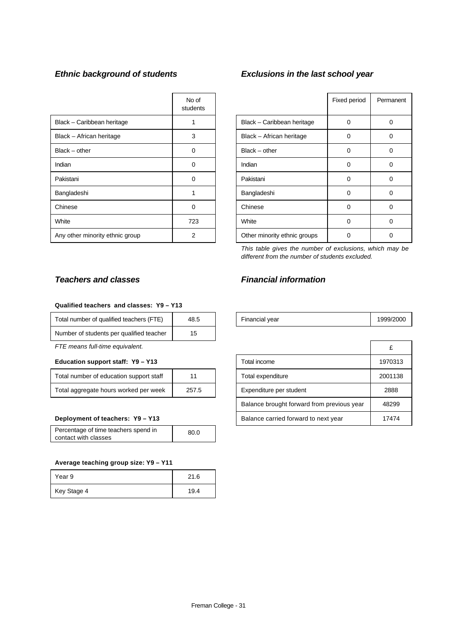|                                 | No of<br>students |                              | Fixed period | Perma |
|---------------------------------|-------------------|------------------------------|--------------|-------|
| Black - Caribbean heritage      |                   | Black - Caribbean heritage   | 0            | 0     |
| Black - African heritage        | 3                 | Black - African heritage     | 0            | 0     |
| $Black - other$                 | $\Omega$          | $Black - other$              | 0            | 0     |
| Indian                          | 0                 | Indian                       | 0            | 0     |
| Pakistani                       | $\Omega$          | Pakistani                    | 0            | 0     |
| Bangladeshi                     |                   | Bangladeshi                  | 0            | 0     |
| Chinese                         | $\Omega$          | Chinese                      | 0            | 0     |
| White                           | 723               | White                        | 0            | 0     |
| Any other minority ethnic group | 2                 | Other minority ethnic groups | 0            | 0     |

## *Ethnic background of students Exclusions in the last school year*

|                              | Fixed period | Permanent |
|------------------------------|--------------|-----------|
| Black - Caribbean heritage   | O            | Ω         |
| Black - African heritage     | O            | U         |
| $Black - other$              | O            | ŋ         |
| Indian                       | O            | O         |
| Pakistani                    | U            | U         |
| Bangladeshi                  | O            | U         |
| Chinese                      | U            | ი         |
| White                        | ი            | Ω         |
| Other minority ethnic groups | Ω            | Ω         |

*This table gives the number of exclusions, which may be different from the number of students excluded.*

## *Teachers and classes Financial information*

| <br>$\overline{\phantom{a}}$<br>Total<br>' teachers<br>number of<br>qualified | ∟48 | vear<br>Financial<br>- - - | 1999/2000 |
|-------------------------------------------------------------------------------|-----|----------------------------|-----------|
|                                                                               |     |                            |           |

| FTE means full-time equivalent.                |  |                   |                                            |         |
|------------------------------------------------|--|-------------------|--------------------------------------------|---------|
| Education support staff: Y9 - Y13              |  |                   | Total income                               | 1970313 |
| Total number of education support staff<br>11  |  | Total expenditure | 2001138                                    |         |
| 257.5<br>Total aggregate hours worked per week |  |                   | Expenditure per student                    | 2888    |
|                                                |  |                   | Balance brought forward from previous year | 48299   |
| Deployment of teachers: Y9 - Y13               |  |                   | Balance carried forward to next year       | 17474   |

#### **Qualified teachers and classes: Y9 – Y13**

| Total number of qualified teachers (FTE) | 48.5 |
|------------------------------------------|------|
| Number of students per qualified teacher | 15   |

#### Education support staff: Y9 - Y13

| Total number of education support staff | 11    |
|-----------------------------------------|-------|
| Total aggregate hours worked per week   | 257.5 |

#### **Deployment of teachers: Y9 - Y13**

| Percentage of time teachers spend in | 80.0 |
|--------------------------------------|------|
| contact with classes                 |      |

#### **Average teaching group size: Y9 – Y11**

| Year 9      | 21.6 |
|-------------|------|
| Key Stage 4 | 19.4 |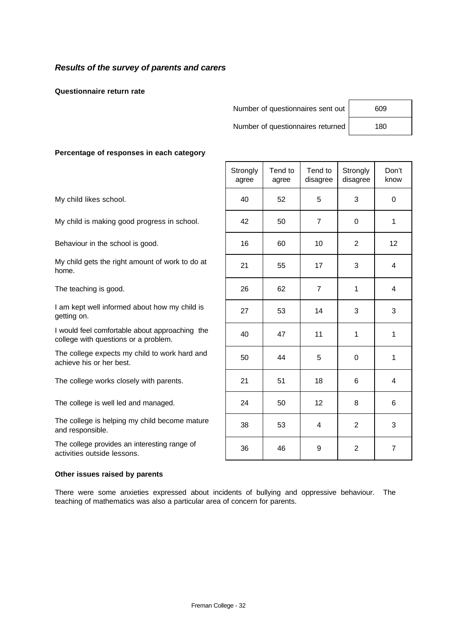#### *Results of the survey of parents and carers*

**Questionnaire return rate**

Number of questionnaires sent out 609

Number of questionnaires returned | 180

#### **Percentage of responses in each category**

#### **Other issues raised by parents**

There were some anxieties expressed about incidents of bullying and oppressive behaviour. The teaching of mathematics was also a particular area of concern for parents.

| ו טוסטוונעקט טו וטסטטווסטס ווו טעוטוו טעוטקטו                                          |                   |                  |                     |                      |                |
|----------------------------------------------------------------------------------------|-------------------|------------------|---------------------|----------------------|----------------|
|                                                                                        | Strongly<br>agree | Tend to<br>agree | Tend to<br>disagree | Strongly<br>disagree | Don't<br>know  |
| My child likes school.                                                                 | 40                | 52               | 5                   | 3                    | $\Omega$       |
| My child is making good progress in school.                                            | 42                | 50               | $\overline{7}$      | 0                    | 1              |
| Behaviour in the school is good.                                                       | 16                | 60               | 10                  | $\overline{2}$       | 12             |
| My child gets the right amount of work to do at<br>home.                               | 21                | 55               | 17                  | 3                    | 4              |
| The teaching is good.                                                                  | 26                | 62               | $\overline{7}$      | $\mathbf{1}$         | 4              |
| I am kept well informed about how my child is<br>getting on.                           | 27                | 53               | 14                  | 3                    | 3              |
| I would feel comfortable about approaching the<br>college with questions or a problem. | 40                | 47               | 11                  | $\mathbf{1}$         | 1              |
| The college expects my child to work hard and<br>achieve his or her best.              | 50                | 44               | 5                   | 0                    | 1              |
| The college works closely with parents.                                                | 21                | 51               | 18                  | 6                    | 4              |
| The college is well led and managed.                                                   | 24                | 50               | 12                  | 8                    | 6              |
| The college is helping my child become mature<br>and responsible.                      | 38                | 53               | 4                   | $\overline{2}$       | 3              |
| The college provides an interesting range of<br>activities outside lessons.            | 36                | 46               | 9                   | $\overline{2}$       | $\overline{7}$ |
|                                                                                        |                   |                  |                     |                      |                |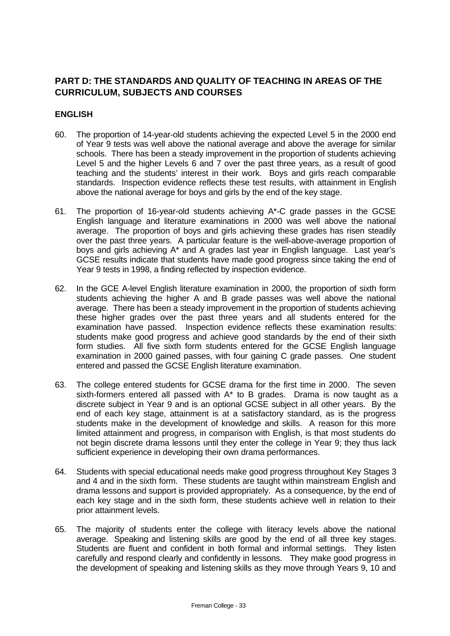# **PART D: THE STANDARDS AND QUALITY OF TEACHING IN AREAS OF THE CURRICULUM, SUBJECTS AND COURSES**

#### **ENGLISH**

- 60. The proportion of 14-year-old students achieving the expected Level 5 in the 2000 end of Year 9 tests was well above the national average and above the average for similar schools. There has been a steady improvement in the proportion of students achieving Level 5 and the higher Levels 6 and 7 over the past three years, as a result of good teaching and the students' interest in their work. Boys and girls reach comparable standards. Inspection evidence reflects these test results, with attainment in English above the national average for boys and girls by the end of the key stage.
- 61. The proportion of 16-year-old students achieving A\*-C grade passes in the GCSE English language and literature examinations in 2000 was well above the national average. The proportion of boys and girls achieving these grades has risen steadily over the past three years. A particular feature is the well-above-average proportion of boys and girls achieving A\* and A grades last year in English language. Last year's GCSE results indicate that students have made good progress since taking the end of Year 9 tests in 1998, a finding reflected by inspection evidence.
- 62. In the GCE A-level English literature examination in 2000, the proportion of sixth form students achieving the higher A and B grade passes was well above the national average. There has been a steady improvement in the proportion of students achieving these higher grades over the past three years and all students entered for the examination have passed. Inspection evidence reflects these examination results: students make good progress and achieve good standards by the end of their sixth form studies. All five sixth form students entered for the GCSE English language examination in 2000 gained passes, with four gaining C grade passes. One student entered and passed the GCSE English literature examination.
- 63. The college entered students for GCSE drama for the first time in 2000. The seven sixth-formers entered all passed with A\* to B grades. Drama is now taught as a discrete subject in Year 9 and is an optional GCSE subject in all other years. By the end of each key stage, attainment is at a satisfactory standard, as is the progress students make in the development of knowledge and skills. A reason for this more limited attainment and progress, in comparison with English, is that most students do not begin discrete drama lessons until they enter the college in Year 9; they thus lack sufficient experience in developing their own drama performances.
- 64. Students with special educational needs make good progress throughout Key Stages 3 and 4 and in the sixth form. These students are taught within mainstream English and drama lessons and support is provided appropriately. As a consequence, by the end of each key stage and in the sixth form, these students achieve well in relation to their prior attainment levels.
- 65. The majority of students enter the college with literacy levels above the national average. Speaking and listening skills are good by the end of all three key stages. Students are fluent and confident in both formal and informal settings. They listen carefully and respond clearly and confidently in lessons. They make good progress in the development of speaking and listening skills as they move through Years 9, 10 and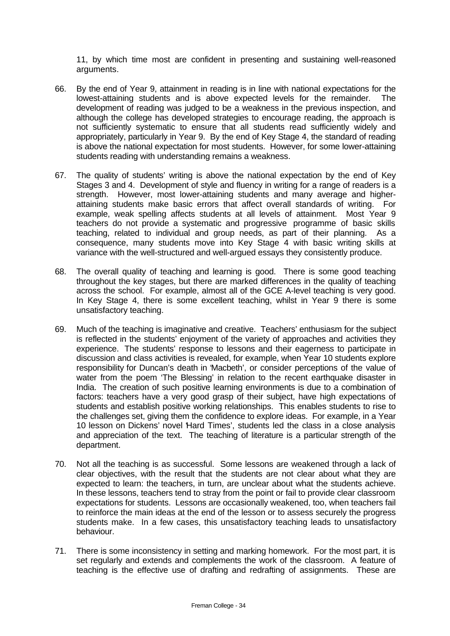11, by which time most are confident in presenting and sustaining well-reasoned arguments.

- 66. By the end of Year 9, attainment in reading is in line with national expectations for the lowest-attaining students and is above expected levels for the remainder. The development of reading was judged to be a weakness in the previous inspection, and although the college has developed strategies to encourage reading, the approach is not sufficiently systematic to ensure that all students read sufficiently widely and appropriately, particularly in Year 9. By the end of Key Stage 4, the standard of reading is above the national expectation for most students. However, for some lower-attaining students reading with understanding remains a weakness.
- 67. The quality of students' writing is above the national expectation by the end of Key Stages 3 and 4. Development of style and fluency in writing for a range of readers is a strength. However, most lower-attaining students and many average and higherattaining students make basic errors that affect overall standards of writing. For example, weak spelling affects students at all levels of attainment. Most Year 9 teachers do not provide a systematic and progressive programme of basic skills teaching, related to individual and group needs, as part of their planning. As a consequence, many students move into Key Stage 4 with basic writing skills at variance with the well-structured and well-argued essays they consistently produce.
- 68. The overall quality of teaching and learning is good. There is some good teaching throughout the key stages, but there are marked differences in the quality of teaching across the school. For example, almost all of the GCE A-level teaching is very good. In Key Stage 4, there is some excellent teaching, whilst in Year 9 there is some unsatisfactory teaching.
- 69. Much of the teaching is imaginative and creative. Teachers' enthusiasm for the subject is reflected in the students' enjoyment of the variety of approaches and activities they experience. The students' response to lessons and their eagerness to participate in discussion and class activities is revealed, for example, when Year 10 students explore responsibility for Duncan's death in 'Macbeth', or consider perceptions of the value of water from the poem 'The Blessing' in relation to the recent earthquake disaster in India. The creation of such positive learning environments is due to a combination of factors: teachers have a very good grasp of their subject, have high expectations of students and establish positive working relationships. This enables students to rise to the challenges set, giving them the confidence to explore ideas. For example, in a Year 10 lesson on Dickens' novel 'Hard Times', students led the class in a close analysis and appreciation of the text. The teaching of literature is a particular strength of the department.
- 70. Not all the teaching is as successful. Some lessons are weakened through a lack of clear objectives, with the result that the students are not clear about what they are expected to learn: the teachers, in turn, are unclear about what the students achieve. In these lessons, teachers tend to stray from the point or fail to provide clear classroom expectations for students. Lessons are occasionally weakened, too, when teachers fail to reinforce the main ideas at the end of the lesson or to assess securely the progress students make. In a few cases, this unsatisfactory teaching leads to unsatisfactory behaviour.
- 71. There is some inconsistency in setting and marking homework. For the most part, it is set regularly and extends and complements the work of the classroom. A feature of teaching is the effective use of drafting and redrafting of assignments. These are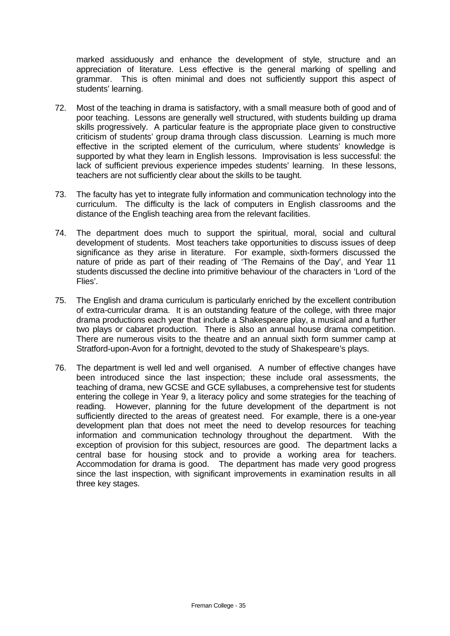marked assiduously and enhance the development of style, structure and an appreciation of literature. Less effective is the general marking of spelling and grammar. This is often minimal and does not sufficiently support this aspect of students' learning.

- 72. Most of the teaching in drama is satisfactory, with a small measure both of good and of poor teaching. Lessons are generally well structured, with students building up drama skills progressively. A particular feature is the appropriate place given to constructive criticism of students' group drama through class discussion. Learning is much more effective in the scripted element of the curriculum, where students' knowledge is supported by what they learn in English lessons. Improvisation is less successful: the lack of sufficient previous experience impedes students' learning. In these lessons, teachers are not sufficiently clear about the skills to be taught.
- 73. The faculty has yet to integrate fully information and communication technology into the curriculum. The difficulty is the lack of computers in English classrooms and the distance of the English teaching area from the relevant facilities.
- 74. The department does much to support the spiritual, moral, social and cultural development of students. Most teachers take opportunities to discuss issues of deep significance as they arise in literature. For example, sixth-formers discussed the nature of pride as part of their reading of 'The Remains of the Day', and Year 11 students discussed the decline into primitive behaviour of the characters in 'Lord of the Flies'.
- 75. The English and drama curriculum is particularly enriched by the excellent contribution of extra-curricular drama. It is an outstanding feature of the college, with three major drama productions each year that include a Shakespeare play, a musical and a further two plays or cabaret production. There is also an annual house drama competition. There are numerous visits to the theatre and an annual sixth form summer camp at Stratford-upon-Avon for a fortnight, devoted to the study of Shakespeare's plays.
- 76. The department is well led and well organised. A number of effective changes have been introduced since the last inspection; these include oral assessments, the teaching of drama, new GCSE and GCE syllabuses, a comprehensive test for students entering the college in Year 9, a literacy policy and some strategies for the teaching of reading. However, planning for the future development of the department is not sufficiently directed to the areas of greatest need. For example, there is a one-year development plan that does not meet the need to develop resources for teaching information and communication technology throughout the department. With the exception of provision for this subject, resources are good. The department lacks a central base for housing stock and to provide a working area for teachers. Accommodation for drama is good. The department has made very good progress since the last inspection, with significant improvements in examination results in all three key stages.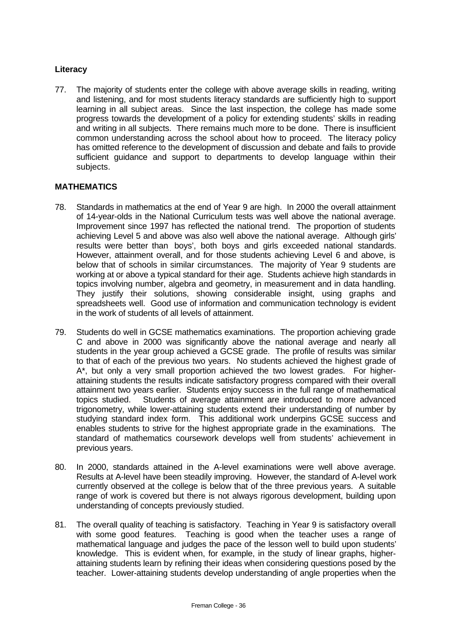## **Literacy**

77. The majority of students enter the college with above average skills in reading, writing and listening, and for most students literacy standards are sufficiently high to support learning in all subject areas. Since the last inspection, the college has made some progress towards the development of a policy for extending students' skills in reading and writing in all subjects. There remains much more to be done. There is insufficient common understanding across the school about how to proceed. The literacy policy has omitted reference to the development of discussion and debate and fails to provide sufficient guidance and support to departments to develop language within their subjects.

#### **MATHEMATICS**

- 78. Standards in mathematics at the end of Year 9 are high. In 2000 the overall attainment of 14-year-olds in the National Curriculum tests was well above the national average. Improvement since 1997 has reflected the national trend. The proportion of students achieving Level 5 and above was also well above the national average. Although girls' results were better than boys', both boys and girls exceeded national standards. However, attainment overall, and for those students achieving Level 6 and above, is below that of schools in similar circumstances. The majority of Year 9 students are working at or above a typical standard for their age. Students achieve high standards in topics involving number, algebra and geometry, in measurement and in data handling. They justify their solutions, showing considerable insight, using graphs and spreadsheets well. Good use of information and communication technology is evident in the work of students of all levels of attainment.
- 79. Students do well in GCSE mathematics examinations. The proportion achieving grade C and above in 2000 was significantly above the national average and nearly all students in the year group achieved a GCSE grade. The profile of results was similar to that of each of the previous two years. No students achieved the highest grade of A\*, but only a very small proportion achieved the two lowest grades. For higherattaining students the results indicate satisfactory progress compared with their overall attainment two years earlier. Students enjoy success in the full range of mathematical topics studied. Students of average attainment are introduced to more advanced trigonometry, while lower-attaining students extend their understanding of number by studying standard index form. This additional work underpins GCSE success and enables students to strive for the highest appropriate grade in the examinations. The standard of mathematics coursework develops well from students' achievement in previous years.
- 80. In 2000, standards attained in the A-level examinations were well above average. Results at A-level have been steadily improving. However, the standard of A-level work currently observed at the college is below that of the three previous years. A suitable range of work is covered but there is not always rigorous development, building upon understanding of concepts previously studied.
- 81. The overall quality of teaching is satisfactory. Teaching in Year 9 is satisfactory overall with some good features. Teaching is good when the teacher uses a range of mathematical language and judges the pace of the lesson well to build upon students' knowledge. This is evident when, for example, in the study of linear graphs, higherattaining students learn by refining their ideas when considering questions posed by the teacher. Lower-attaining students develop understanding of angle properties when the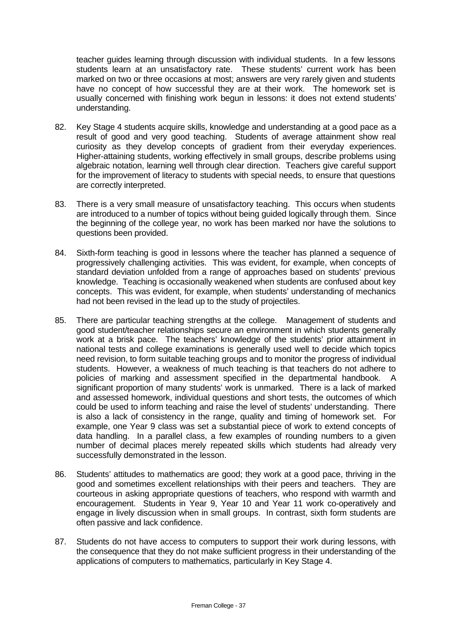teacher guides learning through discussion with individual students. In a few lessons students learn at an unsatisfactory rate. These students' current work has been marked on two or three occasions at most; answers are very rarely given and students have no concept of how successful they are at their work. The homework set is usually concerned with finishing work begun in lessons: it does not extend students' understanding.

- 82. Key Stage 4 students acquire skills, knowledge and understanding at a good pace as a result of good and very good teaching. Students of average attainment show real curiosity as they develop concepts of gradient from their everyday experiences. Higher-attaining students, working effectively in small groups, describe problems using algebraic notation, learning well through clear direction. Teachers give careful support for the improvement of literacy to students with special needs, to ensure that questions are correctly interpreted.
- 83. There is a very small measure of unsatisfactory teaching. This occurs when students are introduced to a number of topics without being guided logically through them. Since the beginning of the college year, no work has been marked nor have the solutions to questions been provided.
- 84. Sixth-form teaching is good in lessons where the teacher has planned a sequence of progressively challenging activities. This was evident, for example, when concepts of standard deviation unfolded from a range of approaches based on students' previous knowledge. Teaching is occasionally weakened when students are confused about key concepts. This was evident, for example, when students' understanding of mechanics had not been revised in the lead up to the study of projectiles.
- 85. There are particular teaching strengths at the college. Management of students and good student/teacher relationships secure an environment in which students generally work at a brisk pace. The teachers' knowledge of the students' prior attainment in national tests and college examinations is generally used well to decide which topics need revision, to form suitable teaching groups and to monitor the progress of individual students. However, a weakness of much teaching is that teachers do not adhere to policies of marking and assessment specified in the departmental handbook. A significant proportion of many students' work is unmarked. There is a lack of marked and assessed homework, individual questions and short tests, the outcomes of which could be used to inform teaching and raise the level of students' understanding. There is also a lack of consistency in the range, quality and timing of homework set. For example, one Year 9 class was set a substantial piece of work to extend concepts of data handling. In a parallel class, a few examples of rounding numbers to a given number of decimal places merely repeated skills which students had already very successfully demonstrated in the lesson.
- 86. Students' attitudes to mathematics are good; they work at a good pace, thriving in the good and sometimes excellent relationships with their peers and teachers. They are courteous in asking appropriate questions of teachers, who respond with warmth and encouragement. Students in Year 9, Year 10 and Year 11 work co-operatively and engage in lively discussion when in small groups. In contrast, sixth form students are often passive and lack confidence.
- 87. Students do not have access to computers to support their work during lessons, with the consequence that they do not make sufficient progress in their understanding of the applications of computers to mathematics, particularly in Key Stage 4.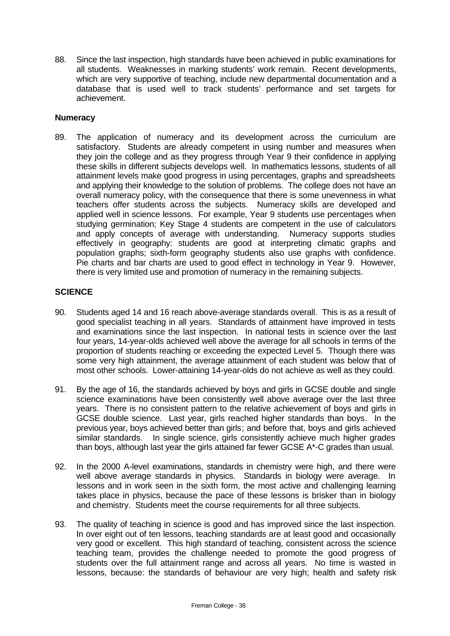88. Since the last inspection, high standards have been achieved in public examinations for all students. Weaknesses in marking students' work remain. Recent developments, which are very supportive of teaching, include new departmental documentation and a database that is used well to track students' performance and set targets for achievement.

#### **Numeracy**

89. The application of numeracy and its development across the curriculum are satisfactory. Students are already competent in using number and measures when they join the college and as they progress through Year 9 their confidence in applying these skills in different subjects develops well. In mathematics lessons, students of all attainment levels make good progress in using percentages, graphs and spreadsheets and applying their knowledge to the solution of problems. The college does not have an overall numeracy policy, with the consequence that there is some unevenness in what teachers offer students across the subjects. Numeracy skills are developed and applied well in science lessons. For example, Year 9 students use percentages when studying germination; Key Stage 4 students are competent in the use of calculators and apply concepts of average with understanding. Numeracy supports studies effectively in geography: students are good at interpreting climatic graphs and population graphs; sixth-form geography students also use graphs with confidence. Pie charts and bar charts are used to good effect in technology in Year 9. However, there is very limited use and promotion of numeracy in the remaining subjects.

#### **SCIENCE**

- 90. Students aged 14 and 16 reach above-average standards overall. This is as a result of good specialist teaching in all years. Standards of attainment have improved in tests and examinations since the last inspection. In national tests in science over the last four years, 14-year-olds achieved well above the average for all schools in terms of the proportion of students reaching or exceeding the expected Level 5. Though there was some very high attainment, the average attainment of each student was below that of most other schools. Lower-attaining 14-year-olds do not achieve as well as they could.
- 91. By the age of 16, the standards achieved by boys and girls in GCSE double and single science examinations have been consistently well above average over the last three years. There is no consistent pattern to the relative achievement of boys and girls in GCSE double science. Last year, girls reached higher standards than boys. In the previous year, boys achieved better than girls; and before that, boys and girls achieved similar standards. In single science, girls consistently achieve much higher grades than boys, although last year the girls attained far fewer GCSE A\*-C grades than usual.
- 92. In the 2000 A-level examinations, standards in chemistry were high, and there were well above average standards in physics. Standards in biology were average. In lessons and in work seen in the sixth form, the most active and challenging learning takes place in physics, because the pace of these lessons is brisker than in biology and chemistry. Students meet the course requirements for all three subjects.
- 93. The quality of teaching in science is good and has improved since the last inspection. In over eight out of ten lessons, teaching standards are at least good and occasionally very good or excellent. This high standard of teaching, consistent across the science teaching team, provides the challenge needed to promote the good progress of students over the full attainment range and across all years. No time is wasted in lessons, because: the standards of behaviour are very high; health and safety risk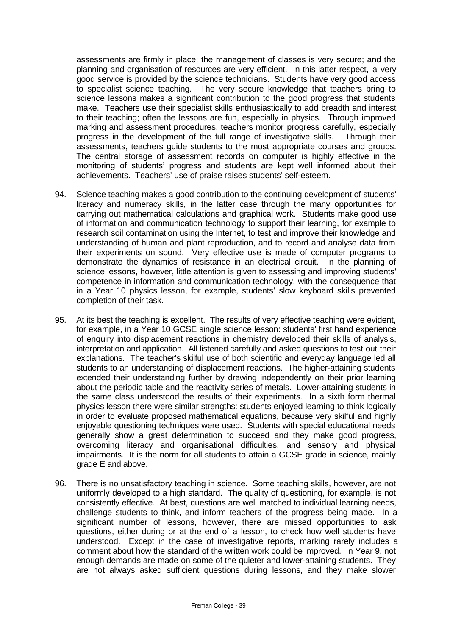assessments are firmly in place; the management of classes is very secure; and the planning and organisation of resources are very efficient. In this latter respect, a very good service is provided by the science technicians. Students have very good access to specialist science teaching. The very secure knowledge that teachers bring to science lessons makes a significant contribution to the good progress that students make. Teachers use their specialist skills enthusiastically to add breadth and interest to their teaching; often the lessons are fun, especially in physics. Through improved marking and assessment procedures, teachers monitor progress carefully, especially progress in the development of the full range of investigative skills. Through their assessments, teachers guide students to the most appropriate courses and groups. The central storage of assessment records on computer is highly effective in the monitoring of students' progress and students are kept well informed about their achievements. Teachers' use of praise raises students' self-esteem.

- 94. Science teaching makes a good contribution to the continuing development of students' literacy and numeracy skills, in the latter case through the many opportunities for carrying out mathematical calculations and graphical work. Students make good use of information and communication technology to support their learning, for example to research soil contamination using the Internet, to test and improve their knowledge and understanding of human and plant reproduction, and to record and analyse data from their experiments on sound. Very effective use is made of computer programs to demonstrate the dynamics of resistance in an electrical circuit. In the planning of science lessons, however, little attention is given to assessing and improving students' competence in information and communication technology, with the consequence that in a Year 10 physics lesson, for example, students' slow keyboard skills prevented completion of their task.
- 95. At its best the teaching is excellent. The results of very effective teaching were evident, for example, in a Year 10 GCSE single science lesson: students' first hand experience of enquiry into displacement reactions in chemistry developed their skills of analysis, interpretation and application. All listened carefully and asked questions to test out their explanations. The teacher's skilful use of both scientific and everyday language led all students to an understanding of displacement reactions. The higher-attaining students extended their understanding further by drawing independently on their prior learning about the periodic table and the reactivity series of metals. Lower-attaining students in the same class understood the results of their experiments. In a sixth form thermal physics lesson there were similar strengths: students enjoyed learning to think logically in order to evaluate proposed mathematical equations, because very skilful and highly enjoyable questioning techniques were used. Students with special educational needs generally show a great determination to succeed and they make good progress, overcoming literacy and organisational difficulties, and sensory and physical impairments. It is the norm for all students to attain a GCSE grade in science, mainly grade E and above.
- 96. There is no unsatisfactory teaching in science. Some teaching skills, however, are not uniformly developed to a high standard. The quality of questioning, for example, is not consistently effective. At best, questions are well matched to individual learning needs, challenge students to think, and inform teachers of the progress being made. In a significant number of lessons, however, there are missed opportunities to ask questions, either during or at the end of a lesson, to check how well students have understood. Except in the case of investigative reports, marking rarely includes a comment about how the standard of the written work could be improved. In Year 9, not enough demands are made on some of the quieter and lower-attaining students. They are not always asked sufficient questions during lessons, and they make slower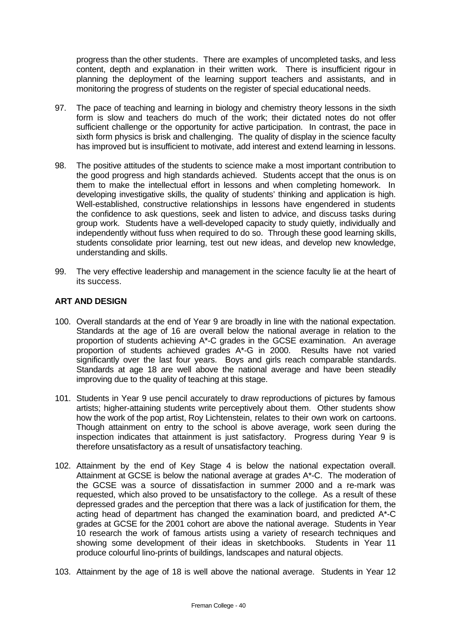progress than the other students. There are examples of uncompleted tasks, and less content, depth and explanation in their written work. There is insufficient rigour in planning the deployment of the learning support teachers and assistants, and in monitoring the progress of students on the register of special educational needs.

- 97. The pace of teaching and learning in biology and chemistry theory lessons in the sixth form is slow and teachers do much of the work; their dictated notes do not offer sufficient challenge or the opportunity for active participation. In contrast, the pace in sixth form physics is brisk and challenging. The quality of display in the science faculty has improved but is insufficient to motivate, add interest and extend learning in lessons.
- 98. The positive attitudes of the students to science make a most important contribution to the good progress and high standards achieved. Students accept that the onus is on them to make the intellectual effort in lessons and when completing homework. In developing investigative skills, the quality of students' thinking and application is high. Well-established, constructive relationships in lessons have engendered in students the confidence to ask questions, seek and listen to advice, and discuss tasks during group work. Students have a well-developed capacity to study quietly, individually and independently without fuss when required to do so. Through these good learning skills, students consolidate prior learning, test out new ideas, and develop new knowledge, understanding and skills.
- 99. The very effective leadership and management in the science faculty lie at the heart of its success.

#### **ART AND DESIGN**

- 100. Overall standards at the end of Year 9 are broadly in line with the national expectation. Standards at the age of 16 are overall below the national average in relation to the proportion of students achieving A\*-C grades in the GCSE examination. An average proportion of students achieved grades A\*-G in 2000. Results have not varied significantly over the last four years. Boys and girls reach comparable standards. Standards at age 18 are well above the national average and have been steadily improving due to the quality of teaching at this stage.
- 101. Students in Year 9 use pencil accurately to draw reproductions of pictures by famous artists; higher-attaining students write perceptively about them. Other students show how the work of the pop artist, Roy Lichtenstein, relates to their own work on cartoons. Though attainment on entry to the school is above average, work seen during the inspection indicates that attainment is just satisfactory. Progress during Year 9 is therefore unsatisfactory as a result of unsatisfactory teaching.
- 102. Attainment by the end of Key Stage 4 is below the national expectation overall. Attainment at GCSE is below the national average at grades A\*-C. The moderation of the GCSE was a source of dissatisfaction in summer 2000 and a re-mark was requested, which also proved to be unsatisfactory to the college. As a result of these depressed grades and the perception that there was a lack of justification for them, the acting head of department has changed the examination board, and predicted A\*-C grades at GCSE for the 2001 cohort are above the national average. Students in Year 10 research the work of famous artists using a variety of research techniques and showing some development of their ideas in sketchbooks. Students in Year 11 produce colourful lino-prints of buildings, landscapes and natural objects.
- 103. Attainment by the age of 18 is well above the national average. Students in Year 12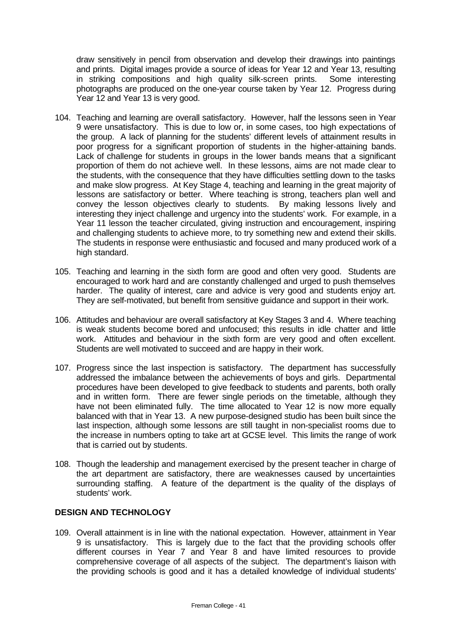draw sensitively in pencil from observation and develop their drawings into paintings and prints. Digital images provide a source of ideas for Year 12 and Year 13, resulting in striking compositions and high quality silk-screen prints. Some interesting photographs are produced on the one-year course taken by Year 12. Progress during Year 12 and Year 13 is very good.

- 104. Teaching and learning are overall satisfactory. However, half the lessons seen in Year 9 were unsatisfactory. This is due to low or, in some cases, too high expectations of the group. A lack of planning for the students' different levels of attainment results in poor progress for a significant proportion of students in the higher-attaining bands. Lack of challenge for students in groups in the lower bands means that a significant proportion of them do not achieve well. In these lessons, aims are not made clear to the students, with the consequence that they have difficulties settling down to the tasks and make slow progress. At Key Stage 4, teaching and learning in the great majority of lessons are satisfactory or better. Where teaching is strong, teachers plan well and convey the lesson objectives clearly to students. By making lessons lively and interesting they inject challenge and urgency into the students' work. For example, in a Year 11 lesson the teacher circulated, giving instruction and encouragement, inspiring and challenging students to achieve more, to try something new and extend their skills. The students in response were enthusiastic and focused and many produced work of a high standard.
- 105. Teaching and learning in the sixth form are good and often very good. Students are encouraged to work hard and are constantly challenged and urged to push themselves harder. The quality of interest, care and advice is very good and students enjoy art. They are self-motivated, but benefit from sensitive guidance and support in their work.
- 106. Attitudes and behaviour are overall satisfactory at Key Stages 3 and 4. Where teaching is weak students become bored and unfocused; this results in idle chatter and little work. Attitudes and behaviour in the sixth form are very good and often excellent. Students are well motivated to succeed and are happy in their work.
- 107. Progress since the last inspection is satisfactory. The department has successfully addressed the imbalance between the achievements of boys and girls. Departmental procedures have been developed to give feedback to students and parents, both orally and in written form. There are fewer single periods on the timetable, although they have not been eliminated fully. The time allocated to Year 12 is now more equally balanced with that in Year 13. A new purpose-designed studio has been built since the last inspection, although some lessons are still taught in non-specialist rooms due to the increase in numbers opting to take art at GCSE level. This limits the range of work that is carried out by students.
- 108. Though the leadership and management exercised by the present teacher in charge of the art department are satisfactory, there are weaknesses caused by uncertainties surrounding staffing. A feature of the department is the quality of the displays of students' work.

#### **DESIGN AND TECHNOLOGY**

109. Overall attainment is in line with the national expectation. However, attainment in Year 9 is unsatisfactory. This is largely due to the fact that the providing schools offer different courses in Year 7 and Year 8 and have limited resources to provide comprehensive coverage of all aspects of the subject. The department's liaison with the providing schools is good and it has a detailed knowledge of individual students'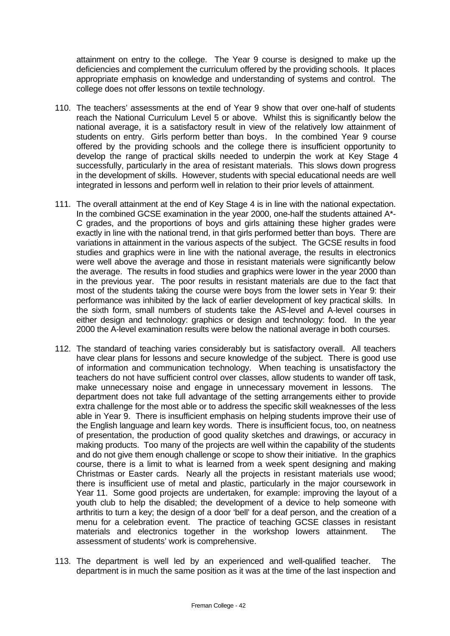attainment on entry to the college. The Year 9 course is designed to make up the deficiencies and complement the curriculum offered by the providing schools. It places appropriate emphasis on knowledge and understanding of systems and control. The college does not offer lessons on textile technology.

- 110. The teachers' assessments at the end of Year 9 show that over one-half of students reach the National Curriculum Level 5 or above. Whilst this is significantly below the national average, it is a satisfactory result in view of the relatively low attainment of students on entry. Girls perform better than boys. In the combined Year 9 course offered by the providing schools and the college there is insufficient opportunity to develop the range of practical skills needed to underpin the work at Key Stage 4 successfully, particularly in the area of resistant materials. This slows down progress in the development of skills. However, students with special educational needs are well integrated in lessons and perform well in relation to their prior levels of attainment.
- 111. The overall attainment at the end of Key Stage 4 is in line with the national expectation. In the combined GCSE examination in the year 2000, one-half the students attained A\*- C grades, and the proportions of boys and girls attaining these higher grades were exactly in line with the national trend, in that girls performed better than boys. There are variations in attainment in the various aspects of the subject. The GCSE results in food studies and graphics were in line with the national average, the results in electronics were well above the average and those in resistant materials were significantly below the average. The results in food studies and graphics were lower in the year 2000 than in the previous year. The poor results in resistant materials are due to the fact that most of the students taking the course were boys from the lower sets in Year 9: their performance was inhibited by the lack of earlier development of key practical skills. In the sixth form, small numbers of students take the AS-level and A-level courses in either design and technology: graphics or design and technology: food. In the year 2000 the A-level examination results were below the national average in both courses.
- 112. The standard of teaching varies considerably but is satisfactory overall. All teachers have clear plans for lessons and secure knowledge of the subject. There is good use of information and communication technology. When teaching is unsatisfactory the teachers do not have sufficient control over classes, allow students to wander off task, make unnecessary noise and engage in unnecessary movement in lessons. The department does not take full advantage of the setting arrangements either to provide extra challenge for the most able or to address the specific skill weaknesses of the less able in Year 9. There is insufficient emphasis on helping students improve their use of the English language and learn key words. There is insufficient focus, too, on neatness of presentation, the production of good quality sketches and drawings, or accuracy in making products. Too many of the projects are well within the capability of the students and do not give them enough challenge or scope to show their initiative. In the graphics course, there is a limit to what is learned from a week spent designing and making Christmas or Easter cards. Nearly all the projects in resistant materials use wood; there is insufficient use of metal and plastic, particularly in the major coursework in Year 11. Some good projects are undertaken, for example: improving the layout of a youth club to help the disabled; the development of a device to help someone with arthritis to turn a key; the design of a door 'bell' for a deaf person, and the creation of a menu for a celebration event. The practice of teaching GCSE classes in resistant materials and electronics together in the workshop lowers attainment. The assessment of students' work is comprehensive.
- 113. The department is well led by an experienced and well-qualified teacher. The department is in much the same position as it was at the time of the last inspection and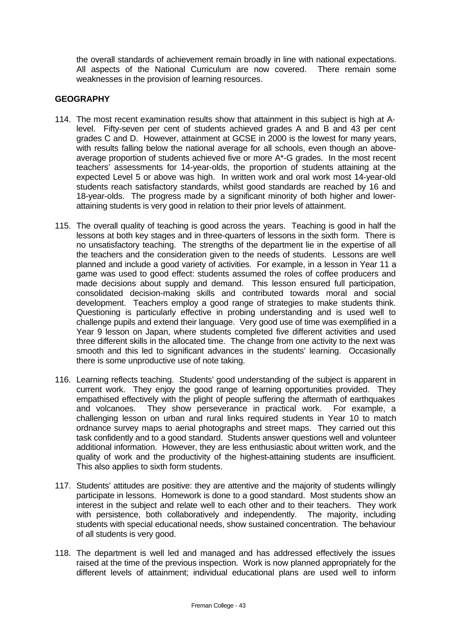the overall standards of achievement remain broadly in line with national expectations. All aspects of the National Curriculum are now covered. There remain some weaknesses in the provision of learning resources.

## **GEOGRAPHY**

- 114. The most recent examination results show that attainment in this subject is high at Alevel. Fifty-seven per cent of students achieved grades A and B and 43 per cent grades C and D. However, attainment at GCSE in 2000 is the lowest for many years, with results falling below the national average for all schools, even though an aboveaverage proportion of students achieved five or more A\*-G grades. In the most recent teachers' assessments for 14-year-olds, the proportion of students attaining at the expected Level 5 or above was high. In written work and oral work most 14-year-old students reach satisfactory standards, whilst good standards are reached by 16 and 18-year-olds. The progress made by a significant minority of both higher and lowerattaining students is very good in relation to their prior levels of attainment.
- 115. The overall quality of teaching is good across the years. Teaching is good in half the lessons at both key stages and in three-quarters of lessons in the sixth form. There is no unsatisfactory teaching. The strengths of the department lie in the expertise of all the teachers and the consideration given to the needs of students. Lessons are well planned and include a good variety of activities. For example, in a lesson in Year 11 a game was used to good effect: students assumed the roles of coffee producers and made decisions about supply and demand. This lesson ensured full participation, consolidated decision-making skills and contributed towards moral and social development. Teachers employ a good range of strategies to make students think. Questioning is particularly effective in probing understanding and is used well to challenge pupils and extend their language. Very good use of time was exemplified in a Year 9 lesson on Japan, where students completed five different activities and used three different skills in the allocated time. The change from one activity to the next was smooth and this led to significant advances in the students' learning. Occasionally there is some unproductive use of note taking.
- 116. Learning reflects teaching. Students' good understanding of the subject is apparent in current work. They enjoy the good range of learning opportunities provided. They empathised effectively with the plight of people suffering the aftermath of earthquakes and volcanoes. They show perseverance in practical work. For example, a challenging lesson on urban and rural links required students in Year 10 to match ordnance survey maps to aerial photographs and street maps. They carried out this task confidently and to a good standard. Students answer questions well and volunteer additional information. However, they are less enthusiastic about written work, and the quality of work and the productivity of the highest-attaining students are insufficient. This also applies to sixth form students.
- 117. Students' attitudes are positive: they are attentive and the majority of students willingly participate in lessons. Homework is done to a good standard. Most students show an interest in the subject and relate well to each other and to their teachers. They work with persistence, both collaboratively and independently. The majority, including students with special educational needs, show sustained concentration. The behaviour of all students is very good.
- 118. The department is well led and managed and has addressed effectively the issues raised at the time of the previous inspection. Work is now planned appropriately for the different levels of attainment; individual educational plans are used well to inform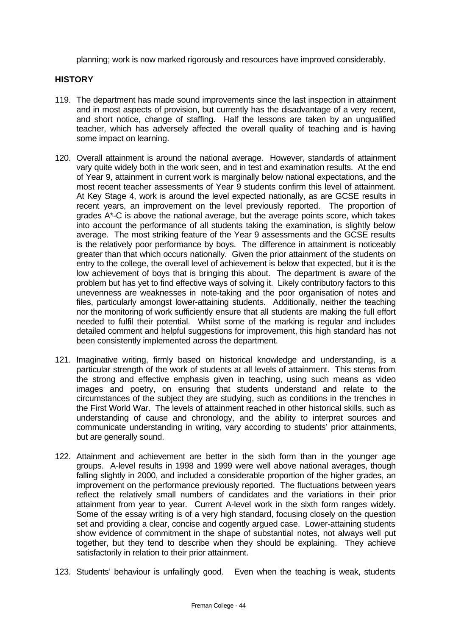planning; work is now marked rigorously and resources have improved considerably.

#### **HISTORY**

- 119. The department has made sound improvements since the last inspection in attainment and in most aspects of provision, but currently has the disadvantage of a very recent, and short notice, change of staffing. Half the lessons are taken by an unqualified teacher, which has adversely affected the overall quality of teaching and is having some impact on learning.
- 120. Overall attainment is around the national average. However, standards of attainment vary quite widely both in the work seen, and in test and examination results. At the end of Year 9, attainment in current work is marginally below national expectations, and the most recent teacher assessments of Year 9 students confirm this level of attainment. At Key Stage 4, work is around the level expected nationally, as are GCSE results in recent years, an improvement on the level previously reported. The proportion of grades A\*-C is above the national average, but the average points score, which takes into account the performance of all students taking the examination, is slightly below average. The most striking feature of the Year 9 assessments and the GCSE results is the relatively poor performance by boys. The difference in attainment is noticeably greater than that which occurs nationally. Given the prior attainment of the students on entry to the college, the overall level of achievement is below that expected, but it is the low achievement of boys that is bringing this about. The department is aware of the problem but has yet to find effective ways of solving it. Likely contributory factors to this unevenness are weaknesses in note-taking and the poor organisation of notes and files, particularly amongst lower-attaining students. Additionally, neither the teaching nor the monitoring of work sufficiently ensure that all students are making the full effort needed to fulfil their potential. Whilst some of the marking is regular and includes detailed comment and helpful suggestions for improvement, this high standard has not been consistently implemented across the department.
- 121. Imaginative writing, firmly based on historical knowledge and understanding, is a particular strength of the work of students at all levels of attainment. This stems from the strong and effective emphasis given in teaching, using such means as video images and poetry, on ensuring that students understand and relate to the circumstances of the subject they are studying, such as conditions in the trenches in the First World War. The levels of attainment reached in other historical skills, such as understanding of cause and chronology, and the ability to interpret sources and communicate understanding in writing, vary according to students' prior attainments, but are generally sound.
- 122. Attainment and achievement are better in the sixth form than in the younger age groups. A-level results in 1998 and 1999 were well above national averages, though falling slightly in 2000, and included a considerable proportion of the higher grades, an improvement on the performance previously reported. The fluctuations between years reflect the relatively small numbers of candidates and the variations in their prior attainment from year to year. Current A-level work in the sixth form ranges widely. Some of the essay writing is of a very high standard, focusing closely on the question set and providing a clear, concise and cogently argued case. Lower-attaining students show evidence of commitment in the shape of substantial notes, not always well put together, but they tend to describe when they should be explaining. They achieve satisfactorily in relation to their prior attainment.
- 123. Students' behaviour is unfailingly good. Even when the teaching is weak, students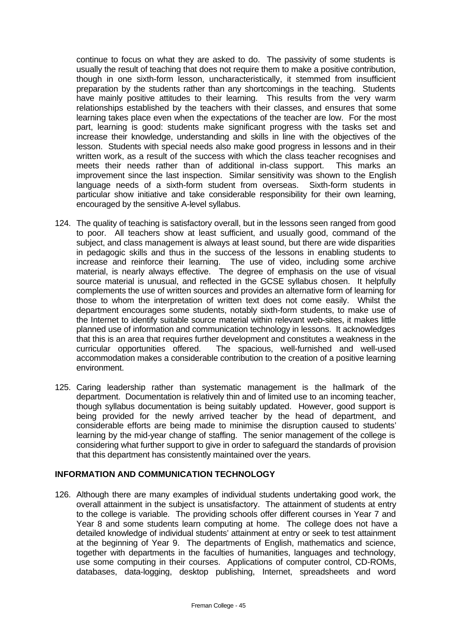continue to focus on what they are asked to do. The passivity of some students is usually the result of teaching that does not require them to make a positive contribution, though in one sixth-form lesson, uncharacteristically, it stemmed from insufficient preparation by the students rather than any shortcomings in the teaching. Students have mainly positive attitudes to their learning. This results from the very warm relationships established by the teachers with their classes, and ensures that some learning takes place even when the expectations of the teacher are low. For the most part, learning is good: students make significant progress with the tasks set and increase their knowledge, understanding and skills in line with the objectives of the lesson. Students with special needs also make good progress in lessons and in their written work, as a result of the success with which the class teacher recognises and meets their needs rather than of additional in-class support. This marks an improvement since the last inspection. Similar sensitivity was shown to the English language needs of a sixth-form student from overseas. Sixth-form students in particular show initiative and take considerable responsibility for their own learning, encouraged by the sensitive A-level syllabus.

- 124. The quality of teaching is satisfactory overall, but in the lessons seen ranged from good to poor. All teachers show at least sufficient, and usually good, command of the subject, and class management is always at least sound, but there are wide disparities in pedagogic skills and thus in the success of the lessons in enabling students to increase and reinforce their learning. The use of video, including some archive material, is nearly always effective. The degree of emphasis on the use of visual source material is unusual, and reflected in the GCSE syllabus chosen. It helpfully complements the use of written sources and provides an alternative form of learning for those to whom the interpretation of written text does not come easily. Whilst the department encourages some students, notably sixth-form students, to make use of the Internet to identify suitable source material within relevant web-sites, it makes little planned use of information and communication technology in lessons. It acknowledges that this is an area that requires further development and constitutes a weakness in the curricular opportunities offered. The spacious, well-furnished and well-used accommodation makes a considerable contribution to the creation of a positive learning environment.
- 125. Caring leadership rather than systematic management is the hallmark of the department. Documentation is relatively thin and of limited use to an incoming teacher, though syllabus documentation is being suitably updated. However, good support is being provided for the newly arrived teacher by the head of department, and considerable efforts are being made to minimise the disruption caused to students' learning by the mid-year change of staffing. The senior management of the college is considering what further support to give in order to safeguard the standards of provision that this department has consistently maintained over the years.

#### **INFORMATION AND COMMUNICATION TECHNOLOGY**

126. Although there are many examples of individual students undertaking good work, the overall attainment in the subject is unsatisfactory. The attainment of students at entry to the college is variable. The providing schools offer different courses in Year 7 and Year 8 and some students learn computing at home. The college does not have a detailed knowledge of individual students' attainment at entry or seek to test attainment at the beginning of Year 9. The departments of English, mathematics and science, together with departments in the faculties of humanities, languages and technology, use some computing in their courses. Applications of computer control, CD-ROMs, databases, data-logging, desktop publishing, Internet, spreadsheets and word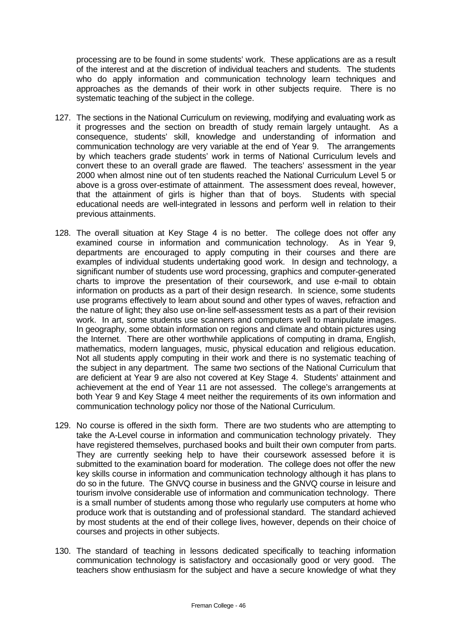processing are to be found in some students' work. These applications are as a result of the interest and at the discretion of individual teachers and students. The students who do apply information and communication technology learn techniques and approaches as the demands of their work in other subjects require. There is no systematic teaching of the subject in the college.

- 127. The sections in the National Curriculum on reviewing, modifying and evaluating work as it progresses and the section on breadth of study remain largely untaught. As a consequence, students' skill, knowledge and understanding of information and communication technology are very variable at the end of Year 9. The arrangements by which teachers grade students' work in terms of National Curriculum levels and convert these to an overall grade are flawed. The teachers' assessment in the year 2000 when almost nine out of ten students reached the National Curriculum Level 5 or above is a gross over-estimate of attainment. The assessment does reveal, however, that the attainment of girls is higher than that of boys. Students with special educational needs are well-integrated in lessons and perform well in relation to their previous attainments.
- 128. The overall situation at Key Stage 4 is no better. The college does not offer any examined course in information and communication technology. As in Year 9, departments are encouraged to apply computing in their courses and there are examples of individual students undertaking good work. In design and technology, a significant number of students use word processing, graphics and computer-generated charts to improve the presentation of their coursework, and use e-mail to obtain information on products as a part of their design research. In science, some students use programs effectively to learn about sound and other types of waves, refraction and the nature of light; they also use on-line self-assessment tests as a part of their revision work. In art, some students use scanners and computers well to manipulate images. In geography, some obtain information on regions and climate and obtain pictures using the Internet. There are other worthwhile applications of computing in drama, English, mathematics, modern languages, music, physical education and religious education. Not all students apply computing in their work and there is no systematic teaching of the subject in any department. The same two sections of the National Curriculum that are deficient at Year 9 are also not covered at Key Stage 4. Students' attainment and achievement at the end of Year 11 are not assessed. The college's arrangements at both Year 9 and Key Stage 4 meet neither the requirements of its own information and communication technology policy nor those of the National Curriculum.
- 129. No course is offered in the sixth form. There are two students who are attempting to take the A-Level course in information and communication technology privately. They have registered themselves, purchased books and built their own computer from parts. They are currently seeking help to have their coursework assessed before it is submitted to the examination board for moderation. The college does not offer the new key skills course in information and communication technology although it has plans to do so in the future. The GNVQ course in business and the GNVQ course in leisure and tourism involve considerable use of information and communication technology. There is a small number of students among those who regularly use computers at home who produce work that is outstanding and of professional standard. The standard achieved by most students at the end of their college lives, however, depends on their choice of courses and projects in other subjects.
- 130. The standard of teaching in lessons dedicated specifically to teaching information communication technology is satisfactory and occasionally good or very good. The teachers show enthusiasm for the subject and have a secure knowledge of what they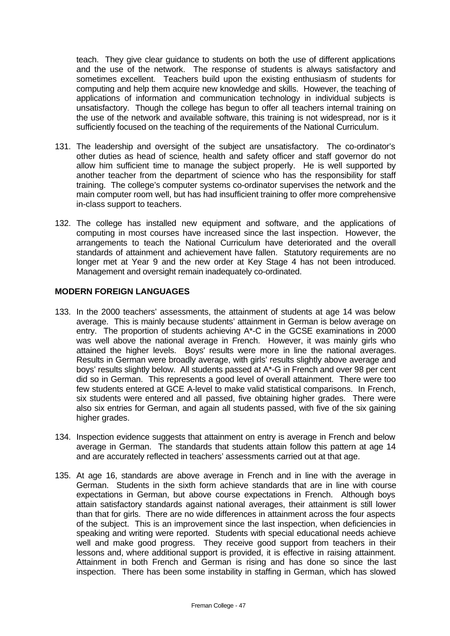teach. They give clear guidance to students on both the use of different applications and the use of the network. The response of students is always satisfactory and sometimes excellent. Teachers build upon the existing enthusiasm of students for computing and help them acquire new knowledge and skills. However, the teaching of applications of information and communication technology in individual subjects is unsatisfactory. Though the college has begun to offer all teachers internal training on the use of the network and available software, this training is not widespread, nor is it sufficiently focused on the teaching of the requirements of the National Curriculum.

- 131. The leadership and oversight of the subject are unsatisfactory. The co-ordinator's other duties as head of science, health and safety officer and staff governor do not allow him sufficient time to manage the subject properly. He is well supported by another teacher from the department of science who has the responsibility for staff training. The college's computer systems co-ordinator supervises the network and the main computer room well, but has had insufficient training to offer more comprehensive in-class support to teachers.
- 132. The college has installed new equipment and software, and the applications of computing in most courses have increased since the last inspection. However, the arrangements to teach the National Curriculum have deteriorated and the overall standards of attainment and achievement have fallen. Statutory requirements are no longer met at Year 9 and the new order at Key Stage 4 has not been introduced. Management and oversight remain inadequately co-ordinated.

#### **MODERN FOREIGN LANGUAGES**

- 133. In the 2000 teachers' assessments, the attainment of students at age 14 was below average. This is mainly because students' attainment in German is below average on entry. The proportion of students achieving A\*-C in the GCSE examinations in 2000 was well above the national average in French. However, it was mainly girls who attained the higher levels. Boys' results were more in line the national averages. Results in German were broadly average, with girls' results slightly above average and boys' results slightly below. All students passed at A\*-G in French and over 98 per cent did so in German. This represents a good level of overall attainment. There were too few students entered at GCE A-level to make valid statistical comparisons. In French, six students were entered and all passed, five obtaining higher grades. There were also six entries for German, and again all students passed, with five of the six gaining higher grades.
- 134. Inspection evidence suggests that attainment on entry is average in French and below average in German. The standards that students attain follow this pattern at age 14 and are accurately reflected in teachers' assessments carried out at that age.
- 135. At age 16, standards are above average in French and in line with the average in German. Students in the sixth form achieve standards that are in line with course expectations in German, but above course expectations in French. Although boys attain satisfactory standards against national averages, their attainment is still lower than that for girls. There are no wide differences in attainment across the four aspects of the subject. This is an improvement since the last inspection, when deficiencies in speaking and writing were reported. Students with special educational needs achieve well and make good progress. They receive good support from teachers in their lessons and, where additional support is provided, it is effective in raising attainment. Attainment in both French and German is rising and has done so since the last inspection. There has been some instability in staffing in German, which has slowed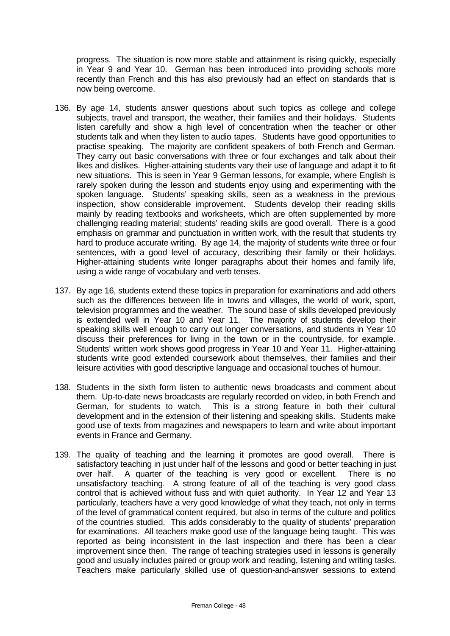progress. The situation is now more stable and attainment is rising quickly, especially in Year 9 and Year 10. German has been introduced into providing schools more recently than French and this has also previously had an effect on standards that is now being overcome.

- 136. By age 14, students answer questions about such topics as college and college subjects, travel and transport, the weather, their families and their holidays. Students listen carefully and show a high level of concentration when the teacher or other students talk and when they listen to audio tapes. Students have good opportunities to practise speaking. The majority are confident speakers of both French and German. They carry out basic conversations with three or four exchanges and talk about their likes and dislikes. Higher-attaining students vary their use of language and adapt it to fit new situations. This is seen in Year 9 German lessons, for example, where English is rarely spoken during the lesson and students enjoy using and experimenting with the spoken language. Students' speaking skills, seen as a weakness in the previous inspection, show considerable improvement. Students develop their reading skills mainly by reading textbooks and worksheets, which are often supplemented by more challenging reading material; students' reading skills are good overall. There is a good emphasis on grammar and punctuation in written work, with the result that students try hard to produce accurate writing. By age 14, the majority of students write three or four sentences, with a good level of accuracy, describing their family or their holidays. Higher-attaining students write longer paragraphs about their homes and family life, using a wide range of vocabulary and verb tenses.
- 137. By age 16, students extend these topics in preparation for examinations and add others such as the differences between life in towns and villages, the world of work, sport, television programmes and the weather. The sound base of skills developed previously is extended well in Year 10 and Year 11. The majority of students develop their speaking skills well enough to carry out longer conversations, and students in Year 10 discuss their preferences for living in the town or in the countryside, for example. Students' written work shows good progress in Year 10 and Year 11. Higher-attaining students write good extended coursework about themselves, their families and their leisure activities with good descriptive language and occasional touches of humour.
- 138. Students in the sixth form listen to authentic news broadcasts and comment about them. Up-to-date news broadcasts are regularly recorded on video, in both French and German, for students to watch. This is a strong feature in both their cultural development and in the extension of their listening and speaking skills. Students make good use of texts from magazines and newspapers to learn and write about important events in France and Germany.
- 139. The quality of teaching and the learning it promotes are good overall. There is satisfactory teaching in just under half of the lessons and good or better teaching in just over half. A quarter of the teaching is very good or excellent. There is no unsatisfactory teaching. A strong feature of all of the teaching is very good class control that is achieved without fuss and with quiet authority. In Year 12 and Year 13 particularly, teachers have a very good knowledge of what they teach, not only in terms of the level of grammatical content required, but also in terms of the culture and politics of the countries studied. This adds considerably to the quality of students' preparation for examinations. All teachers make good use of the language being taught. This was reported as being inconsistent in the last inspection and there has been a clear improvement since then. The range of teaching strategies used in lessons is generally good and usually includes paired or group work and reading, listening and writing tasks. Teachers make particularly skilled use of question-and-answer sessions to extend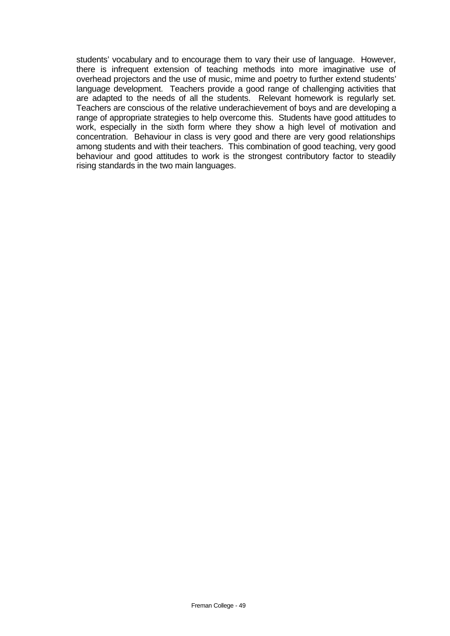students' vocabulary and to encourage them to vary their use of language. However, there is infrequent extension of teaching methods into more imaginative use of overhead projectors and the use of music, mime and poetry to further extend students' language development. Teachers provide a good range of challenging activities that are adapted to the needs of all the students. Relevant homework is regularly set. Teachers are conscious of the relative underachievement of boys and are developing a range of appropriate strategies to help overcome this. Students have good attitudes to work, especially in the sixth form where they show a high level of motivation and concentration. Behaviour in class is very good and there are very good relationships among students and with their teachers. This combination of good teaching, very good behaviour and good attitudes to work is the strongest contributory factor to steadily rising standards in the two main languages.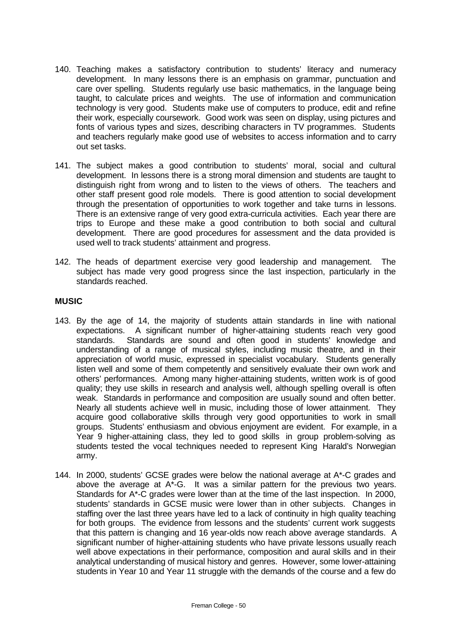- 140. Teaching makes a satisfactory contribution to students' literacy and numeracy development. In many lessons there is an emphasis on grammar, punctuation and care over spelling. Students regularly use basic mathematics, in the language being taught, to calculate prices and weights. The use of information and communication technology is very good. Students make use of computers to produce, edit and refine their work, especially coursework. Good work was seen on display, using pictures and fonts of various types and sizes, describing characters in TV programmes. Students and teachers regularly make good use of websites to access information and to carry out set tasks.
- 141. The subject makes a good contribution to students' moral, social and cultural development. In lessons there is a strong moral dimension and students are taught to distinguish right from wrong and to listen to the views of others. The teachers and other staff present good role models. There is good attention to social development through the presentation of opportunities to work together and take turns in lessons. There is an extensive range of very good extra-curricula activities. Each year there are trips to Europe and these make a good contribution to both social and cultural development. There are good procedures for assessment and the data provided is used well to track students' attainment and progress.
- 142. The heads of department exercise very good leadership and management. The subject has made very good progress since the last inspection, particularly in the standards reached.

#### **MUSIC**

- 143. By the age of 14, the majority of students attain standards in line with national expectations. A significant number of higher-attaining students reach very good standards. Standards are sound and often good in students' knowledge and understanding of a range of musical styles, including music theatre, and in their appreciation of world music, expressed in specialist vocabulary. Students generally listen well and some of them competently and sensitively evaluate their own work and others' performances. Among many higher-attaining students, written work is of good quality; they use skills in research and analysis well, although spelling overall is often weak. Standards in performance and composition are usually sound and often better. Nearly all students achieve well in music, including those of lower attainment. They acquire good collaborative skills through very good opportunities to work in small groups. Students' enthusiasm and obvious enjoyment are evident. For example, in a Year 9 higher-attaining class, they led to good skills in group problem-solving as students tested the vocal techniques needed to represent King Harald's Norwegian army.
- 144. In 2000, students' GCSE grades were below the national average at A\*-C grades and above the average at A\*-G. It was a similar pattern for the previous two years. Standards for A\*-C grades were lower than at the time of the last inspection. In 2000, students' standards in GCSE music were lower than in other subjects. Changes in staffing over the last three years have led to a lack of continuity in high quality teaching for both groups. The evidence from lessons and the students' current work suggests that this pattern is changing and 16 year-olds now reach above average standards. A significant number of higher-attaining students who have private lessons usually reach well above expectations in their performance, composition and aural skills and in their analytical understanding of musical history and genres. However, some lower-attaining students in Year 10 and Year 11 struggle with the demands of the course and a few do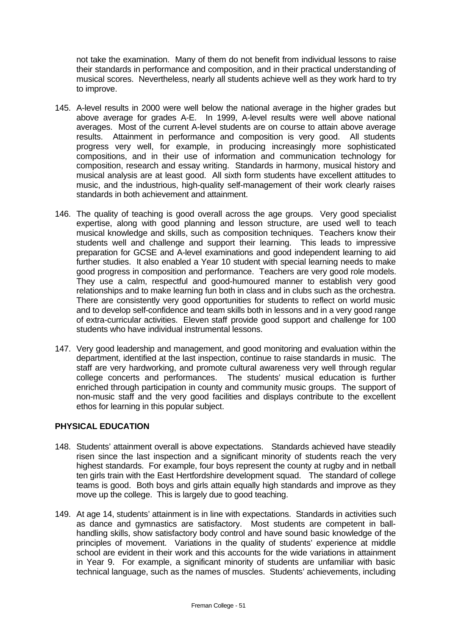not take the examination. Many of them do not benefit from individual lessons to raise their standards in performance and composition, and in their practical understanding of musical scores. Nevertheless, nearly all students achieve well as they work hard to try to improve.

- 145. A-level results in 2000 were well below the national average in the higher grades but above average for grades A-E. In 1999, A-level results were well above national averages. Most of the current A-level students are on course to attain above average results. Attainment in performance and composition is very good. All students progress very well, for example, in producing increasingly more sophisticated compositions, and in their use of information and communication technology for composition, research and essay writing. Standards in harmony, musical history and musical analysis are at least good. All sixth form students have excellent attitudes to music, and the industrious, high-quality self-management of their work clearly raises standards in both achievement and attainment.
- 146. The quality of teaching is good overall across the age groups. Very good specialist expertise, along with good planning and lesson structure, are used well to teach musical knowledge and skills, such as composition techniques. Teachers know their students well and challenge and support their learning. This leads to impressive preparation for GCSE and A-level examinations and good independent learning to aid further studies. It also enabled a Year 10 student with special learning needs to make good progress in composition and performance. Teachers are very good role models. They use a calm, respectful and good-humoured manner to establish very good relationships and to make learning fun both in class and in clubs such as the orchestra. There are consistently very good opportunities for students to reflect on world music and to develop self-confidence and team skills both in lessons and in a very good range of extra-curricular activities. Eleven staff provide good support and challenge for 100 students who have individual instrumental lessons.
- 147. Very good leadership and management, and good monitoring and evaluation within the department, identified at the last inspection, continue to raise standards in music. The staff are very hardworking, and promote cultural awareness very well through regular college concerts and performances. The students' musical education is further enriched through participation in county and community music groups. The support of non-music staff and the very good facilities and displays contribute to the excellent ethos for learning in this popular subject.

#### **PHYSICAL EDUCATION**

- 148. Students' attainment overall is above expectations. Standards achieved have steadily risen since the last inspection and a significant minority of students reach the very highest standards. For example, four boys represent the county at rugby and in netball ten girls train with the East Hertfordshire development squad. The standard of college teams is good. Both boys and girls attain equally high standards and improve as they move up the college. This is largely due to good teaching.
- 149. At age 14, students' attainment is in line with expectations. Standards in activities such as dance and gymnastics are satisfactory. Most students are competent in ballhandling skills, show satisfactory body control and have sound basic knowledge of the principles of movement. Variations in the quality of students' experience at middle school are evident in their work and this accounts for the wide variations in attainment in Year 9. For example, a significant minority of students are unfamiliar with basic technical language, such as the names of muscles. Students' achievements, including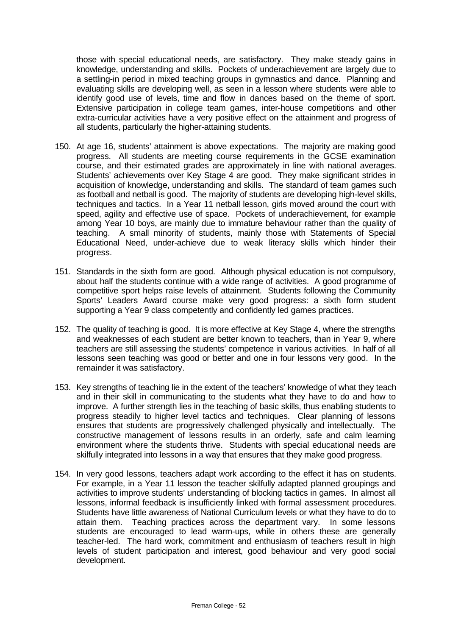those with special educational needs, are satisfactory. They make steady gains in knowledge, understanding and skills. Pockets of underachievement are largely due to a settling-in period in mixed teaching groups in gymnastics and dance. Planning and evaluating skills are developing well, as seen in a lesson where students were able to identify good use of levels, time and flow in dances based on the theme of sport. Extensive participation in college team games, inter-house competitions and other extra-curricular activities have a very positive effect on the attainment and progress of all students, particularly the higher-attaining students.

- 150. At age 16, students' attainment is above expectations. The majority are making good progress. All students are meeting course requirements in the GCSE examination course, and their estimated grades are approximately in line with national averages. Students' achievements over Key Stage 4 are good. They make significant strides in acquisition of knowledge, understanding and skills. The standard of team games such as football and netball is good. The majority of students are developing high-level skills, techniques and tactics. In a Year 11 netball lesson, girls moved around the court with speed, agility and effective use of space. Pockets of underachievement, for example among Year 10 boys, are mainly due to immature behaviour rather than the quality of teaching. A small minority of students, mainly those with Statements of Special Educational Need, under-achieve due to weak literacy skills which hinder their progress.
- 151. Standards in the sixth form are good. Although physical education is not compulsory, about half the students continue with a wide range of activities. A good programme of competitive sport helps raise levels of attainment. Students following the Community Sports' Leaders Award course make very good progress: a sixth form student supporting a Year 9 class competently and confidently led games practices.
- 152. The quality of teaching is good. It is more effective at Key Stage 4, where the strengths and weaknesses of each student are better known to teachers, than in Year 9, where teachers are still assessing the students' competence in various activities. In half of all lessons seen teaching was good or better and one in four lessons very good. In the remainder it was satisfactory.
- 153. Key strengths of teaching lie in the extent of the teachers' knowledge of what they teach and in their skill in communicating to the students what they have to do and how to improve. A further strength lies in the teaching of basic skills, thus enabling students to progress steadily to higher level tactics and techniques. Clear planning of lessons ensures that students are progressively challenged physically and intellectually. The constructive management of lessons results in an orderly, safe and calm learning environment where the students thrive. Students with special educational needs are skilfully integrated into lessons in a way that ensures that they make good progress.
- 154. In very good lessons, teachers adapt work according to the effect it has on students. For example, in a Year 11 lesson the teacher skilfully adapted planned groupings and activities to improve students' understanding of blocking tactics in games. In almost all lessons, informal feedback is insufficiently linked with formal assessment procedures. Students have little awareness of National Curriculum levels or what they have to do to attain them. Teaching practices across the department vary. In some lessons students are encouraged to lead warm-ups, while in others these are generally teacher-led. The hard work, commitment and enthusiasm of teachers result in high levels of student participation and interest, good behaviour and very good social development.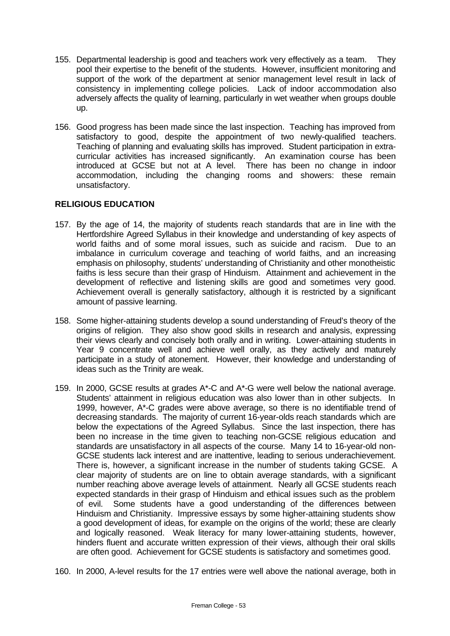- 155. Departmental leadership is good and teachers work very effectively as a team. They pool their expertise to the benefit of the students. However, insufficient monitoring and support of the work of the department at senior management level result in lack of consistency in implementing college policies. Lack of indoor accommodation also adversely affects the quality of learning, particularly in wet weather when groups double up.
- 156. Good progress has been made since the last inspection. Teaching has improved from satisfactory to good, despite the appointment of two newly-qualified teachers. Teaching of planning and evaluating skills has improved. Student participation in extracurricular activities has increased significantly. An examination course has been introduced at GCSE but not at A level. There has been no change in indoor accommodation, including the changing rooms and showers: these remain unsatisfactory.

#### **RELIGIOUS EDUCATION**

- 157. By the age of 14, the majority of students reach standards that are in line with the Hertfordshire Agreed Syllabus in their knowledge and understanding of key aspects of world faiths and of some moral issues, such as suicide and racism. Due to an imbalance in curriculum coverage and teaching of world faiths, and an increasing emphasis on philosophy, students' understanding of Christianity and other monotheistic faiths is less secure than their grasp of Hinduism. Attainment and achievement in the development of reflective and listening skills are good and sometimes very good. Achievement overall is generally satisfactory, although it is restricted by a significant amount of passive learning.
- 158. Some higher-attaining students develop a sound understanding of Freud's theory of the origins of religion. They also show good skills in research and analysis, expressing their views clearly and concisely both orally and in writing. Lower-attaining students in Year 9 concentrate well and achieve well orally, as they actively and maturely participate in a study of atonement. However, their knowledge and understanding of ideas such as the Trinity are weak.
- 159. In 2000, GCSE results at grades A\*-C and A\*-G were well below the national average. Students' attainment in religious education was also lower than in other subjects. In 1999, however, A\*-C grades were above average, so there is no identifiable trend of decreasing standards. The majority of current 16-year-olds reach standards which are below the expectations of the Agreed Syllabus. Since the last inspection, there has been no increase in the time given to teaching non-GCSE religious education and standards are unsatisfactory in all aspects of the course. Many 14 to 16-year-old non-GCSE students lack interest and are inattentive, leading to serious underachievement. There is, however, a significant increase in the number of students taking GCSE. A clear majority of students are on line to obtain average standards, with a significant number reaching above average levels of attainment. Nearly all GCSE students reach expected standards in their grasp of Hinduism and ethical issues such as the problem of evil. Some students have a good understanding of the differences between Hinduism and Christianity. Impressive essays by some higher-attaining students show a good development of ideas, for example on the origins of the world; these are clearly and logically reasoned. Weak literacy for many lower-attaining students, however, hinders fluent and accurate written expression of their views, although their oral skills are often good. Achievement for GCSE students is satisfactory and sometimes good.
- 160. In 2000, A-level results for the 17 entries were well above the national average, both in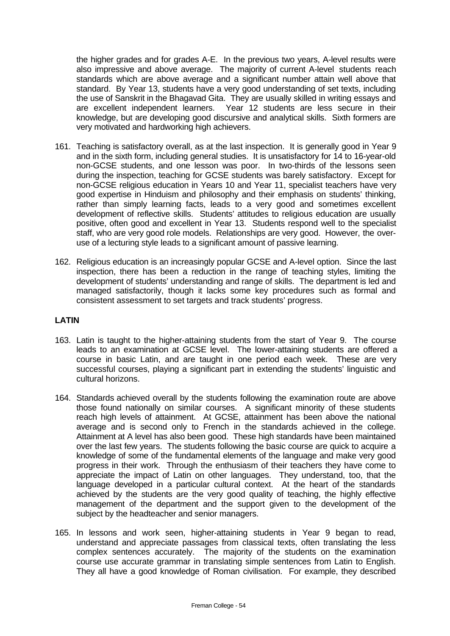the higher grades and for grades A-E. In the previous two years, A-level results were also impressive and above average. The majority of current A-level students reach standards which are above average and a significant number attain well above that standard. By Year 13, students have a very good understanding of set texts, including the use of Sanskrit in the Bhagavad Gita. They are usually skilled in writing essays and are excellent independent learners. Year 12 students are less secure in their knowledge, but are developing good discursive and analytical skills. Sixth formers are very motivated and hardworking high achievers.

- 161. Teaching is satisfactory overall, as at the last inspection. It is generally good in Year 9 and in the sixth form, including general studies. It is unsatisfactory for 14 to 16-year-old non-GCSE students, and one lesson was poor. In two-thirds of the lessons seen during the inspection, teaching for GCSE students was barely satisfactory. Except for non-GCSE religious education in Years 10 and Year 11, specialist teachers have very good expertise in Hinduism and philosophy and their emphasis on students' thinking, rather than simply learning facts, leads to a very good and sometimes excellent development of reflective skills. Students' attitudes to religious education are usually positive, often good and excellent in Year 13. Students respond well to the specialist staff, who are very good role models. Relationships are very good. However, the overuse of a lecturing style leads to a significant amount of passive learning.
- 162. Religious education is an increasingly popular GCSE and A-level option. Since the last inspection, there has been a reduction in the range of teaching styles, limiting the development of students' understanding and range of skills. The department is led and managed satisfactorily, though it lacks some key procedures such as formal and consistent assessment to set targets and track students' progress.

#### **LATIN**

- 163. Latin is taught to the higher-attaining students from the start of Year 9. The course leads to an examination at GCSE level. The lower-attaining students are offered a course in basic Latin, and are taught in one period each week. These are very successful courses, playing a significant part in extending the students' linguistic and cultural horizons.
- 164. Standards achieved overall by the students following the examination route are above those found nationally on similar courses. A significant minority of these students reach high levels of attainment. At GCSE, attainment has been above the national average and is second only to French in the standards achieved in the college. Attainment at A level has also been good. These high standards have been maintained over the last few years. The students following the basic course are quick to acquire a knowledge of some of the fundamental elements of the language and make very good progress in their work. Through the enthusiasm of their teachers they have come to appreciate the impact of Latin on other languages. They understand, too, that the language developed in a particular cultural context. At the heart of the standards achieved by the students are the very good quality of teaching, the highly effective management of the department and the support given to the development of the subject by the headteacher and senior managers.
- 165. In lessons and work seen, higher-attaining students in Year 9 began to read, understand and appreciate passages from classical texts, often translating the less complex sentences accurately. The majority of the students on the examination course use accurate grammar in translating simple sentences from Latin to English. They all have a good knowledge of Roman civilisation. For example, they described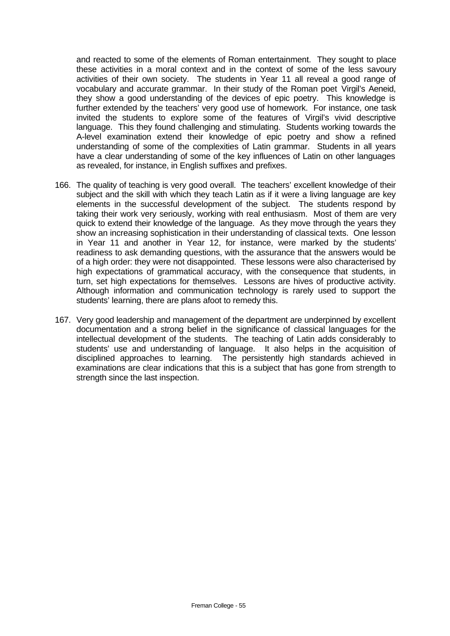and reacted to some of the elements of Roman entertainment. They sought to place these activities in a moral context and in the context of some of the less savoury activities of their own society. The students in Year 11 all reveal a good range of vocabulary and accurate grammar. In their study of the Roman poet Virgil's Aeneid, they show a good understanding of the devices of epic poetry. This knowledge is further extended by the teachers' very good use of homework. For instance, one task invited the students to explore some of the features of Virgil's vivid descriptive language. This they found challenging and stimulating. Students working towards the A-level examination extend their knowledge of epic poetry and show a refined understanding of some of the complexities of Latin grammar. Students in all years have a clear understanding of some of the key influences of Latin on other languages as revealed, for instance, in English suffixes and prefixes.

- 166. The quality of teaching is very good overall. The teachers' excellent knowledge of their subject and the skill with which they teach Latin as if it were a living language are key elements in the successful development of the subject. The students respond by taking their work very seriously, working with real enthusiasm. Most of them are very quick to extend their knowledge of the language. As they move through the years they show an increasing sophistication in their understanding of classical texts. One lesson in Year 11 and another in Year 12, for instance, were marked by the students' readiness to ask demanding questions, with the assurance that the answers would be of a high order: they were not disappointed. These lessons were also characterised by high expectations of grammatical accuracy, with the consequence that students, in turn, set high expectations for themselves. Lessons are hives of productive activity. Although information and communication technology is rarely used to support the students' learning, there are plans afoot to remedy this.
- 167. Very good leadership and management of the department are underpinned by excellent documentation and a strong belief in the significance of classical languages for the intellectual development of the students. The teaching of Latin adds considerably to students' use and understanding of language. It also helps in the acquisition of disciplined approaches to learning. The persistently high standards achieved in examinations are clear indications that this is a subject that has gone from strength to strength since the last inspection.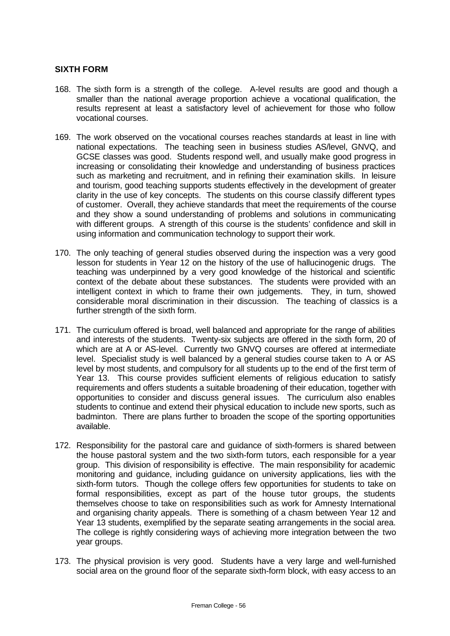#### **SIXTH FORM**

- 168. The sixth form is a strength of the college. A-level results are good and though a smaller than the national average proportion achieve a vocational qualification, the results represent at least a satisfactory level of achievement for those who follow vocational courses.
- 169. The work observed on the vocational courses reaches standards at least in line with national expectations. The teaching seen in business studies AS/level, GNVQ, and GCSE classes was good. Students respond well, and usually make good progress in increasing or consolidating their knowledge and understanding of business practices such as marketing and recruitment, and in refining their examination skills. In leisure and tourism, good teaching supports students effectively in the development of greater clarity in the use of key concepts. The students on this course classify different types of customer. Overall, they achieve standards that meet the requirements of the course and they show a sound understanding of problems and solutions in communicating with different groups. A strength of this course is the students' confidence and skill in using information and communication technology to support their work.
- 170. The only teaching of general studies observed during the inspection was a very good lesson for students in Year 12 on the history of the use of hallucinogenic drugs. The teaching was underpinned by a very good knowledge of the historical and scientific context of the debate about these substances. The students were provided with an intelligent context in which to frame their own judgements. They, in turn, showed considerable moral discrimination in their discussion. The teaching of classics is a further strength of the sixth form.
- 171. The curriculum offered is broad, well balanced and appropriate for the range of abilities and interests of the students. Twenty-six subjects are offered in the sixth form, 20 of which are at A or AS-level. Currently two GNVQ courses are offered at intermediate level. Specialist study is well balanced by a general studies course taken to A or AS level by most students, and compulsory for all students up to the end of the first term of Year 13. This course provides sufficient elements of religious education to satisfy requirements and offers students a suitable broadening of their education, together with opportunities to consider and discuss general issues. The curriculum also enables students to continue and extend their physical education to include new sports, such as badminton. There are plans further to broaden the scope of the sporting opportunities available.
- 172. Responsibility for the pastoral care and guidance of sixth-formers is shared between the house pastoral system and the two sixth-form tutors, each responsible for a year group. This division of responsibility is effective. The main responsibility for academic monitoring and guidance, including guidance on university applications, lies with the sixth-form tutors. Though the college offers few opportunities for students to take on formal responsibilities, except as part of the house tutor groups, the students themselves choose to take on responsibilities such as work for Amnesty International and organising charity appeals. There is something of a chasm between Year 12 and Year 13 students, exemplified by the separate seating arrangements in the social area. The college is rightly considering ways of achieving more integration between the two year groups.
- 173. The physical provision is very good. Students have a very large and well-furnished social area on the ground floor of the separate sixth-form block, with easy access to an